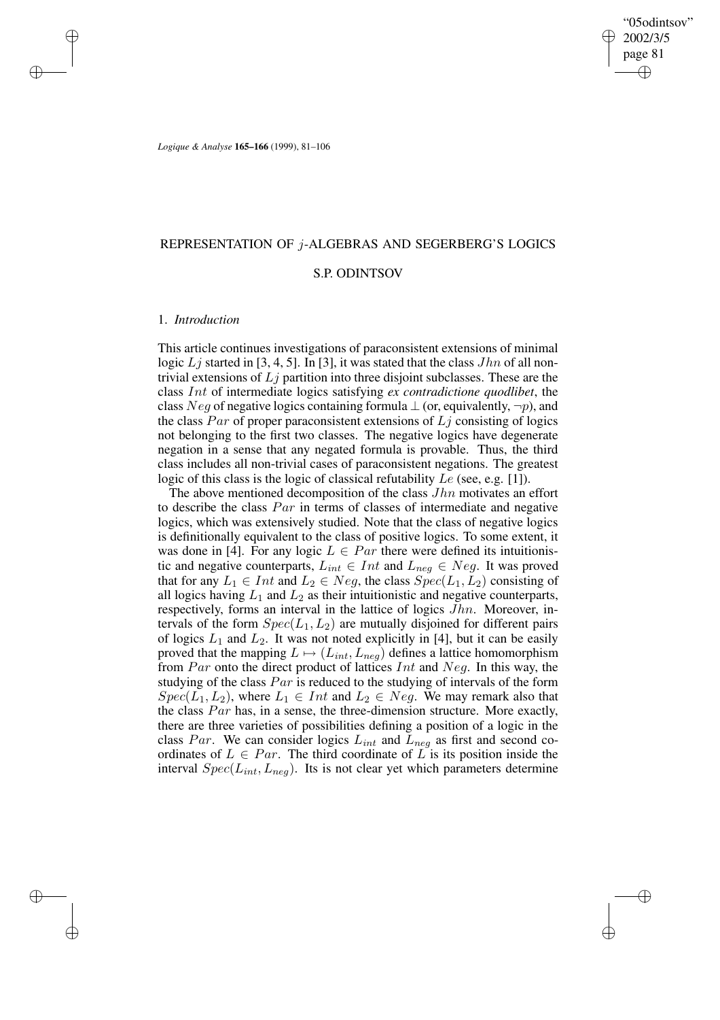✐

*Logique & Analyse* **165–166** (1999), 81–106

# REPRESENTATION OF j-ALGEBRAS AND SEGERBERG'S LOGICS

## S.P. ODINTSOV

## 1. *Introduction*

✐

✐

✐

✐

This article continues investigations of paraconsistent extensions of minimal logic  $Lj$  started in [3, 4, 5]. In [3], it was stated that the class  $Jhn$  of all nontrivial extensions of  $Lj$  partition into three disjoint subclasses. These are the class Int of intermediate logics satisfying *ex contradictione quodlibet*, the class Neg of negative logics containing formula  $\perp$  (or, equivalently,  $\neg p$ ), and the class Par of proper paraconsistent extensions of  $L_i$  consisting of logics not belonging to the first two classes. The negative logics have degenerate negation in a sense that any negated formula is provable. Thus, the third class includes all non-trivial cases of paraconsistent negations. The greatest logic of this class is the logic of classical refutability Le (see, e.g. [1]).

The above mentioned decomposition of the class  $Jhn$  motivates an effort to describe the class Par in terms of classes of intermediate and negative logics, which was extensively studied. Note that the class of negative logics is definitionally equivalent to the class of positive logics. To some extent, it was done in [4]. For any logic  $L \in Par$  there were defined its intuitionistic and negative counterparts,  $L_{int} \in Int$  and  $L_{neg} \in Neg$ . It was proved that for any  $L_1 \in Int$  and  $L_2 \in Neg$ , the class  $Spec(L_1, L_2)$  consisting of all logics having  $L_1$  and  $L_2$  as their intuitionistic and negative counterparts, respectively, forms an interval in the lattice of logics Jhn. Moreover, intervals of the form  $Spec(L_1,L_2)$  are mutually disjoined for different pairs of logics  $L_1$  and  $L_2$ . It was not noted explicitly in [4], but it can be easily proved that the mapping  $L \mapsto (L_{int},L_{neg})$  defines a lattice homomorphism from  $Par$  onto the direct product of lattices  $Int$  and  $Neg$ . In this way, the studying of the class  $Par$  is reduced to the studying of intervals of the form  $Spec(L_1, L_2)$ , where  $L_1 \in Int$  and  $L_2 \in Neg$ . We may remark also that the class Par has, in a sense, the three-dimension structure. More exactly, there are three varieties of possibilities defining a position of a logic in the class Par. We can consider logics  $L_{int}$  and  $L_{neg}$  as first and second coordinates of  $L \in Par$ . The third coordinate of  $\overline{L}$  is its position inside the interval  $Spec(L_{int},L_{neg})$ . Its is not clear yet which parameters determine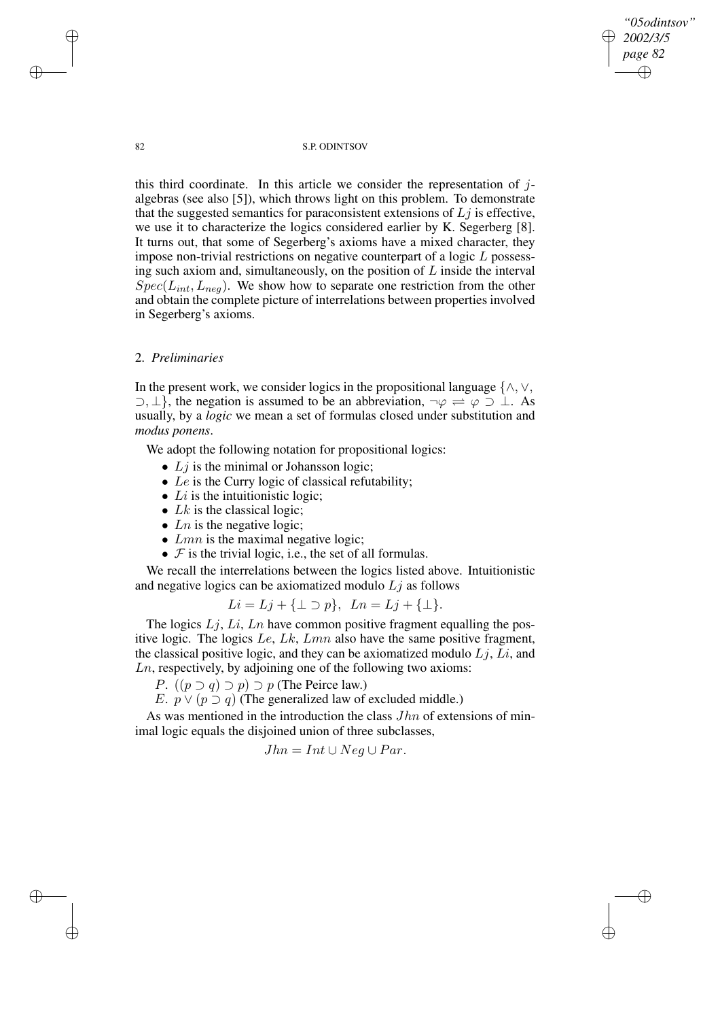*"05odintsov" 2002/3/5 page 82* ✐ ✐

✐

✐

## 82 S.P. ODINTSOV

this third coordinate. In this article we consider the representation of  $i$ algebras (see also [5]), which throws light on this problem. To demonstrate that the suggested semantics for paraconsistent extensions of  $L_j$  is effective, we use it to characterize the logics considered earlier by K. Segerberg [8]. It turns out, that some of Segerberg's axioms have a mixed character, they impose non-trivial restrictions on negative counterpart of a logic L possessing such axiom and, simultaneously, on the position of  $L$  inside the interval  $Spec(L_{int}, L_{neg})$ . We show how to separate one restriction from the other and obtain the complete picture of interrelations between properties involved in Segerberg's axioms.

## 2. *Preliminaries*

In the present work, we consider logics in the propositional language  $\{\wedge, \vee, \varnothing\}$  $\supset, \perp$ , the negation is assumed to be an abbreviation,  $\neg \varphi \Rightarrow \varphi \supset \perp$ . As usually, by a *logic* we mean a set of formulas closed under substitution and *modus ponens*.

We adopt the following notation for propositional logics:

- $Lj$  is the minimal or Johansson logic;
- Le is the Curry logic of classical refutability;
- Li is the intuitionistic logic;
- $Lk$  is the classical logic;
- Ln is the negative logic;
- $Lmn$  is the maximal negative logic;
- $F$  is the trivial logic, i.e., the set of all formulas.

We recall the interrelations between the logics listed above. Intuitionistic and negative logics can be axiomatized modulo  $Lj$  as follows

$$
Li = Lj + \{\perp \supset p\}, \ \ Ln = Lj + \{\perp\}.
$$

The logics  $Lj$ ,  $Li$ ,  $Ln$  have common positive fragment equalling the positive logic. The logics  $Le, Lk, Lmn$  also have the same positive fragment, the classical positive logic, and they can be axiomatized modulo  $Lj$ ,  $Li$ , and Ln, respectively, by adjoining one of the following two axioms:

*P.*  $((p ⊇ q) ⊇ p) ⊇ p$  (The Peirce law.)

E.  $p \vee (p \supset q)$  (The generalized law of excluded middle.)

As was mentioned in the introduction the class  $Jhn$  of extensions of minimal logic equals the disjoined union of three subclasses,

$$
Jhn = Int \cup Neg \cup Par.
$$

✐

✐

✐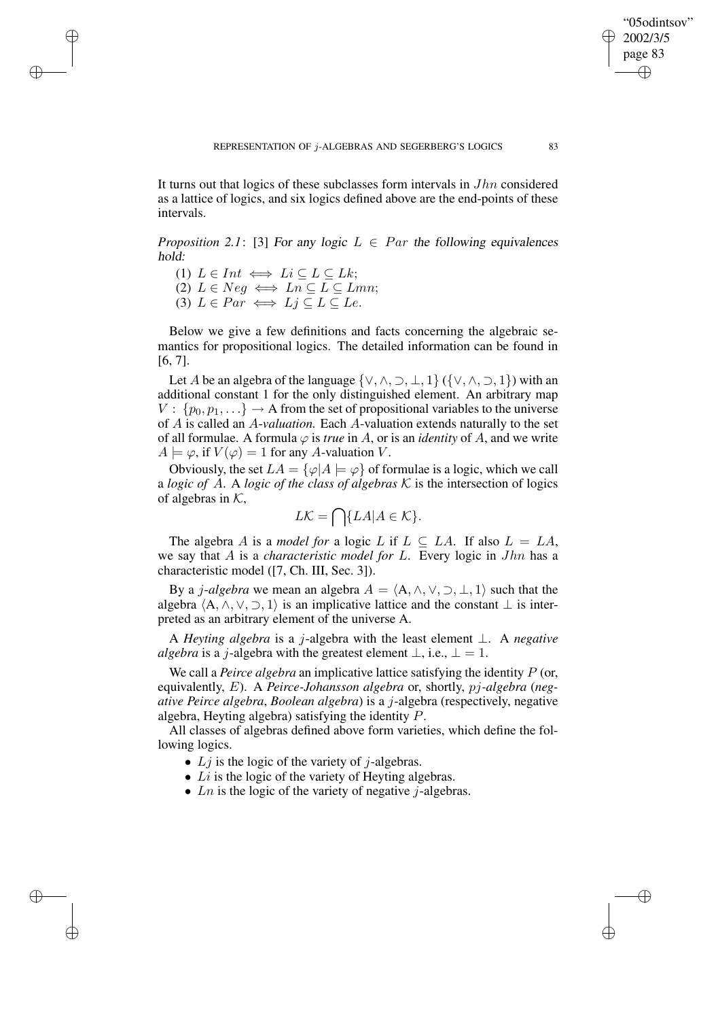It turns out that logics of these subclasses form intervals in Jhn considered as a lattice of logics, and six logics defined above are the end-points of these intervals.

*Proposition* 2.1: [3] For any logic  $L \in Par$  the following equivalences hold:

(1)  $L \in Int \iff Li \subseteq L \subseteq Lk$ ;

✐

✐

✐

✐

(2)  $L \in Neg \iff Ln \subseteq L \subseteq Lmn;$ (3)  $L \in Par \iff Li \subseteq L \subseteq Le$ .

Below we give a few definitions and facts concerning the algebraic semantics for propositional logics. The detailed information can be found in [6, 7].

Let A be an algebra of the language  $\{ \vee, \wedge, \supset, \perp, 1 \}$  ( $\{ \vee, \wedge, \supset, 1 \}$ ) with an additional constant 1 for the only distinguished element. An arbitrary map  $V: \{p_0, p_1, ...\} \rightarrow A$  from the set of propositional variables to the universe of A is called an A-*valuation.* Each A-valuation extends naturally to the set of all formulae. A formula  $\varphi$  is *true* in A, or is an *identity* of A, and we write  $A \models \varphi$ , if  $V(\varphi) = 1$  for any A-valuation V.

Obviously, the set  $LA = {\varphi}A \models \varphi$  of formulae is a logic, which we call a *logic of* A. A *logic of the class of algebras*  $K$  is the intersection of logics of algebras in  $K$ ,

$$
L\mathcal{K} = \bigcap \{LA | A \in \mathcal{K}\}.
$$

The algebra A is a *model for* a logic L if  $L \subseteq LA$ . If also  $L = LA$ , we say that A is a *characteristic model for* L. Every logic in Jhn has a characteristic model ([7, Ch. III, Sec. 3]).

By a *j-algebra* we mean an algebra  $A = \langle A, \wedge, \vee, \supset, \perp, 1 \rangle$  such that the algebra  $\langle A, \wedge, \vee, \supset, 1 \rangle$  is an implicative lattice and the constant  $\perp$  is interpreted as an arbitrary element of the universe A.

A *Heyting algebra* is a j-algebra with the least element ⊥. A *negative algebra* is a *j*-algebra with the greatest element  $\bot$ , i.e.,  $\bot = 1$ .

We call a *Peirce algebra* an implicative lattice satisfying the identity P (or, equivalently, E). A *Peirce-Johansson algebra* or, shortly, pj*-algebra* (*negative Peirce algebra*, *Boolean algebra*) is a j-algebra (respectively, negative algebra, Heyting algebra) satisfying the identity P.

All classes of algebras defined above form varieties, which define the following logics.

- $L_j$  is the logic of the variety of j-algebras.
- $Li$  is the logic of the variety of Heyting algebras.
- Ln is the logic of the variety of negative  $i$ -algebras.

"05odintsov" 2002/3/5 page 83

✐

✐

✐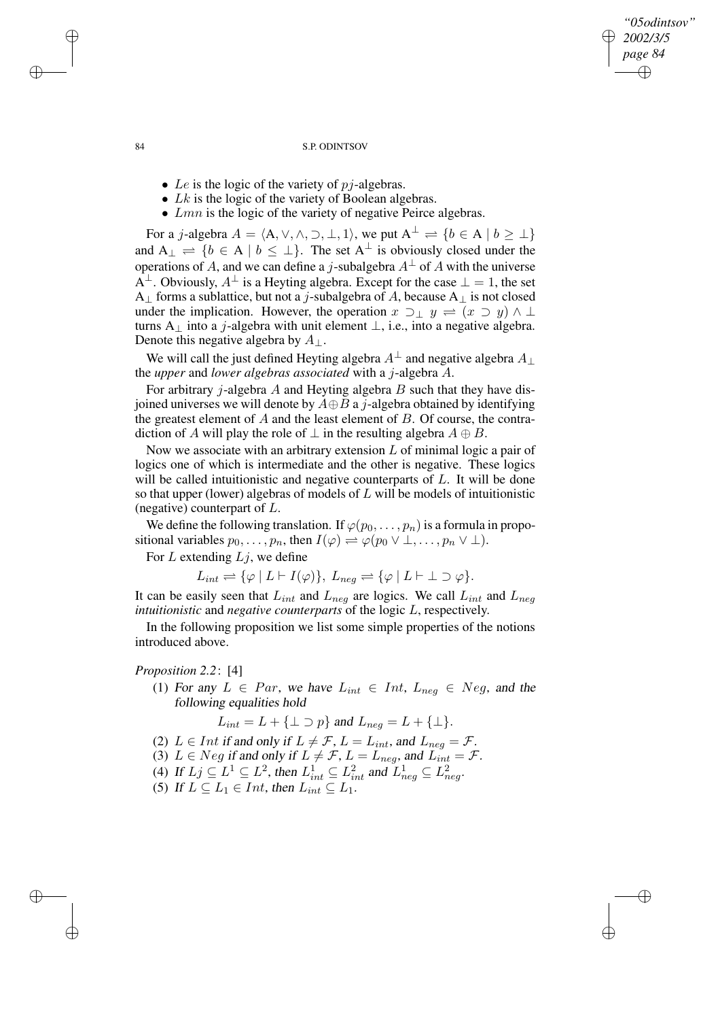✐

#### 84 S.P. ODINTSOV

- Le is the logic of the variety of  $pi$ -algebras.
- $Lk$  is the logic of the variety of Boolean algebras.
- $Lmn$  is the logic of the variety of negative Peirce algebras.

For a j-algebra  $A = \langle A, \vee, \wedge, \supset, \perp, 1 \rangle$ , we put  $A^{\perp} \rightleftharpoons \{b \in A \mid b \geq \perp\}$ and  $A_{\perp} = \{b \in A \mid b \leq \perp\}$ . The set  $A^{\perp}$  is obviously closed under the operations of A, and we can define a j-subalgebra  $A^{\perp}$  of A with the universe  $A^{\perp}$ . Obviously,  $A^{\perp}$  is a Heyting algebra. Except for the case  $\perp = 1$ , the set A<sub>⊥</sub> forms a sublattice, but not a j-subalgebra of A, because A<sub>⊥</sub> is not closed under the implication. However, the operation  $x \supset_{\perp} y = (x \supset y) \wedge \perp$ turns A<sub>⊥</sub> into a j-algebra with unit element  $\perp$ , i.e., into a negative algebra. Denote this negative algebra by  $A_{\perp}$ .

We will call the just defined Heyting algebra  $A^{\perp}$  and negative algebra  $A_{\perp}$ the *upper* and *lower algebras associated* with a j-algebra A.

For arbitrary *j*-algebra  $A$  and Heyting algebra  $B$  such that they have disjoined universes we will denote by  $A \oplus B$  a j-algebra obtained by identifying the greatest element of  $A$  and the least element of  $B$ . Of course, the contradiction of A will play the role of  $\perp$  in the resulting algebra  $A \oplus B$ .

Now we associate with an arbitrary extension  $L$  of minimal logic a pair of logics one of which is intermediate and the other is negative. These logics will be called intuitionistic and negative counterparts of  $L$ . It will be done so that upper (lower) algebras of models of  $L$  will be models of intuitionistic (negative) counterpart of L.

We define the following translation. If  $\varphi(p_0, \ldots, p_n)$  is a formula in propositional variables  $p_0, \ldots, p_n$ , then  $I(\varphi) \stackrel{\sim}{\Rightarrow} \varphi(p_0 \vee \perp, \ldots, p_n \vee \perp)$ .

For  $L$  extending  $Lj$ , we define

 $L_{int} \rightleftharpoons {\varphi \mid L \vdash I(\varphi)}, L_{neg} \rightleftharpoons {\varphi \mid L \vdash \bot \supset \varphi}.$ 

It can be easily seen that  $L_{int}$  and  $L_{neg}$  are logics. We call  $L_{int}$  and  $L_{neg}$ *intuitionistic* and *negative counterparts* of the logic L, respectively.

In the following proposition we list some simple properties of the notions introduced above.

## *Proposition 2.2*: [4]

(1) For any  $L \in Par$ , we have  $L_{int} \in Int$ ,  $L_{neg} \in Neg$ , and the following equalities hold

 $L_{int} = L + {\{\perp\supset p\}}$  and  $L_{neg} = L + {\{\perp\}}$ .

- (2)  $L \in Int$  if and only if  $L \neq \mathcal{F}$ ,  $L = L_{int}$ , and  $L_{neg} = \mathcal{F}$ .
- (3)  $L \in Neg$  if and only if  $L \neq \mathcal{F}$ ,  $L = L_{neg}$ , and  $L_{int} = \mathcal{F}$ .
- (4) If  $L_j \subseteq L^1 \subseteq L^2$ , then  $L^1_{int} \subseteq L^2_{int}$  and  $L^1_{neg} \subseteq L^2_n$
- (4) If  $L_j \subseteq L \subseteq L$ , then  $L_{int} \subseteq L_{int}$  and  $L_{neg} \subseteq L_{neg}$ .<br>(5) If  $L \subseteq L_1 \in Int$ , then  $L_{int} \subseteq L_1$ .

✐

✐

✐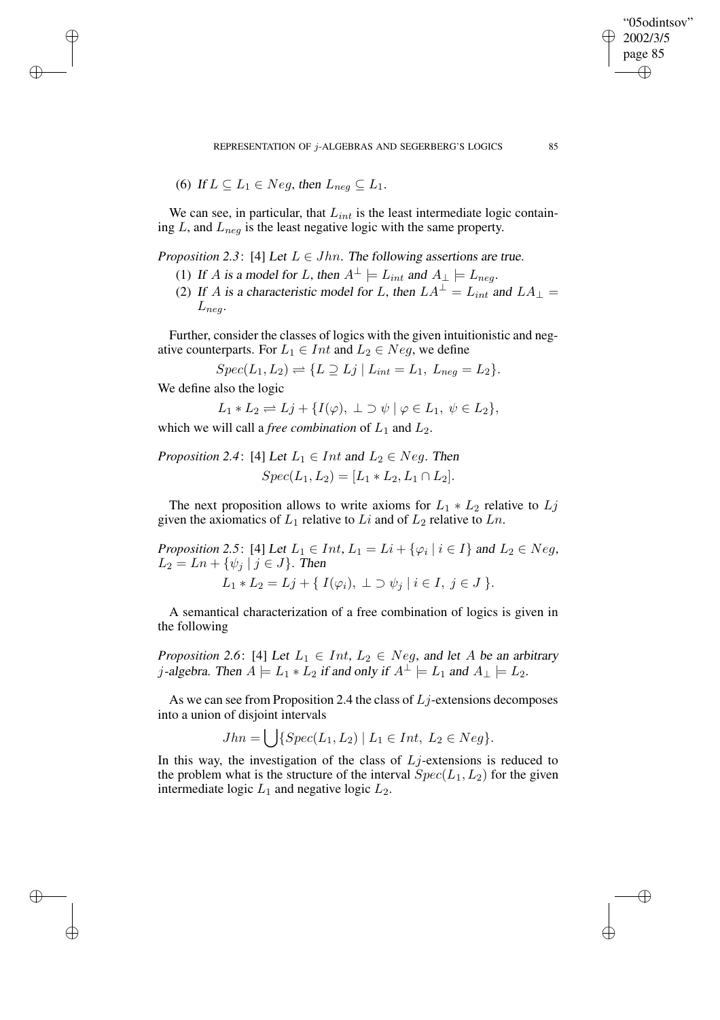REPRESENTATION OF j-ALGEBRAS AND SEGERBERG'S LOGICS 85

(6) If 
$$
L \subseteq L_1 \in Neg
$$
, then  $L_{neg} \subseteq L_1$ .

We can see, in particular, that  $L_{int}$  is the least intermediate logic containing  $L$ , and  $L_{neg}$  is the least negative logic with the same property.

*Proposition* 2.3: [4] Let  $L \in Jhn$ . The following assertions are true.

- (1) If A is a model for L, then  $A^{\perp} \models L_{int}$  and  $A_{\perp} \models L_{neg}$ .
- (2) If A is a characteristic model for L, then  $LA^{\perp} = L_{int}$  and  $LA_{\perp} =$  $L_{neq}$ .

Further, consider the classes of logics with the given intuitionistic and negative counterparts. For  $L_1 \in Int$  and  $L_2 \in Neg$ , we define

 $Spec(L_1, L_2) \rightleftharpoons \{L \supseteq Lj \mid L_{int} = L_1, L_{neg} = L_2\}.$ 

We define also the logic

✐

✐

✐

✐

$$
L_1 * L_2 \rightleftharpoons L_j + \{I(\varphi), \perp \supset \psi \mid \varphi \in L_1, \ \psi \in L_2\},\
$$

which we will call a *free combination* of  $L_1$  and  $L_2$ .

*Proposition* 2.4: [4] Let  $L_1 \in Int$  and  $L_2 \in Neg$ . Then  $Spec(L_1, L_2) = [L_1 * L_2, L_1 \cap L_2].$ 

The next proposition allows to write axioms for  $L_1 * L_2$  relative to  $L_j$ given the axiomatics of  $L_1$  relative to  $Li$  and of  $L_2$  relative to  $Ln$ .

*Proposition* 2.5: [4] Let  $L_1 \in Int$ ,  $L_1 = Li + \{\varphi_i \mid i \in I\}$  and  $L_2 \in Neg$ ,  $L_2 = Ln + \{\psi_j \mid j \in J\}$ . Then

$$
L_1 * L_2 = Lj + \{ I(\varphi_i), \perp \supset \psi_j \mid i \in I, j \in J \}.
$$

A semantical characterization of a free combination of logics is given in the following

*Proposition* 2.6: [4] Let  $L_1 \in Int$ ,  $L_2 \in Neg$ , and let A be an arbitrary *j*-algebra. Then  $A \models L_1 * L_2$  if and only if  $A^{\perp} \models L_1$  and  $A_{\perp} \models L_2$ .

As we can see from Proposition 2.4 the class of  $Lj$ -extensions decomposes into a union of disjoint intervals

$$
Jhn = \bigcup \{Spec(L_1, L_2) \mid L_1 \in Int, L_2 \in Neg\}.
$$

In this way, the investigation of the class of  $Lj$ -extensions is reduced to the problem what is the structure of the interval  $Spec(L_1,L_2)$  for the given intermediate logic  $L_1$  and negative logic  $L_2$ .

"05odintsov" 2002/3/5 page 85

✐

✐

✐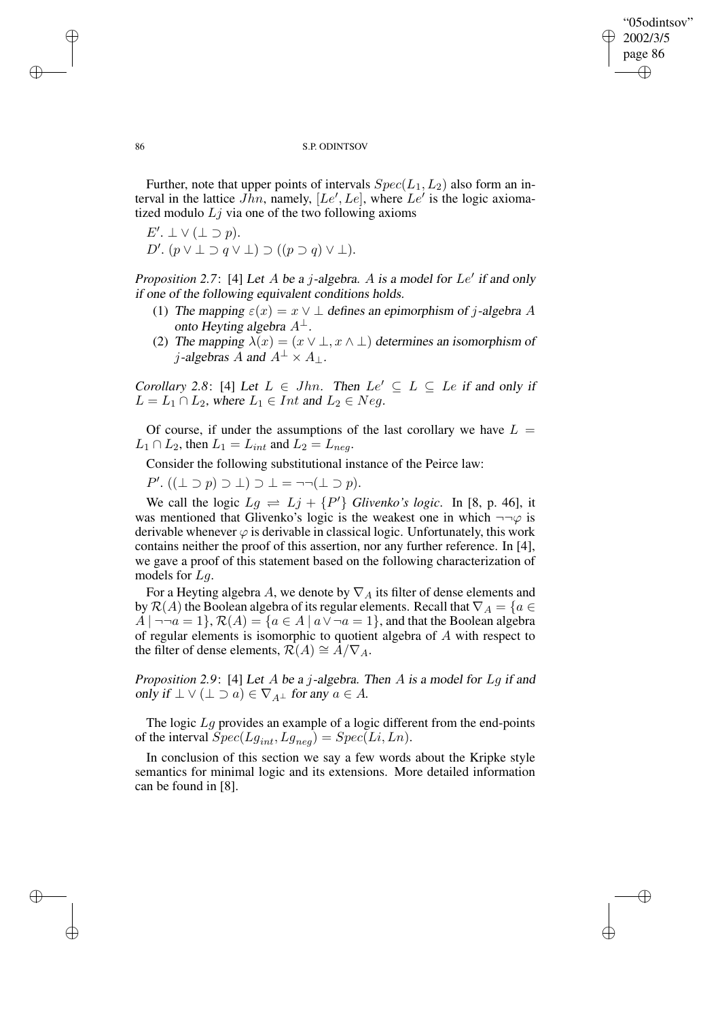✐

#### 86 S.P. ODINTSOV

Further, note that upper points of intervals  $Spec(L_1,L_2)$  also form an interval in the lattice  $Jhn$ , namely,  $[Le', Le]$ , where  $Le'$  is the logic axiomatized modulo  $L<sub>j</sub>$  via one of the two following axioms

$$
E'. \perp \vee (\perp \supset p).
$$
  

$$
D'. (p \vee \perp \supset q \vee \perp) \supset ((p \supset q) \vee \perp).
$$

*Proposition* 2.7: [4] Let  $A$  be a  $j$ -algebra.  $A$  is a model for  $Le'$  if and only if one of the following equivalent conditions holds.

- (1) The mapping  $\varepsilon(x) = x \vee \bot$  defines an epimorphism of j-algebra A onto Heyting algebra  $A^{\perp}$ .
- (2) The mapping  $\lambda(x) = (x \vee \bot, x \wedge \bot)$  determines an isomorphism of j-algebras A and  $A^{\perp} \times A_{\perp}$ .

*Corollary* 2.8: [4] Let  $L \in Jhn$ . Then  $Le' \subseteq L \subseteq Le$  if and only if  $L = L_1 \cap L_2$ , where  $L_1 \in Int$  and  $L_2 \in Neg$ .

Of course, if under the assumptions of the last corollary we have  $L =$  $L_1 \cap L_2$ , then  $L_1 = L_{int}$  and  $L_2 = L_{neg}$ .

Consider the following substitutional instance of the Peirce law:

 $P'.((\perp \supset p) \supset \perp) \supset \perp = \neg \neg (\perp \supset p).$ 

We call the logic  $Lg \rightleftharpoons Lj + {P'}$  *Glivenko's logic*. In [8, p. 46], it was mentioned that Glivenko's logic is the weakest one in which  $\neg\neg\varphi$  is derivable whenever  $\varphi$  is derivable in classical logic. Unfortunately, this work contains neither the proof of this assertion, nor any further reference. In [4], we gave a proof of this statement based on the following characterization of models for Lg.

For a Heyting algebra A, we denote by  $\nabla_A$  its filter of dense elements and by  $\mathcal{R}(A)$  the Boolean algebra of its regular elements. Recall that  $\nabla_A = \{a \in A\}$  $A \mid \neg \neg a = 1$ ,  $\mathcal{R}(A) = \{a \in A \mid a \lor \neg a = 1\}$ , and that the Boolean algebra of regular elements is isomorphic to quotient algebra of A with respect to the filter of dense elements,  $\mathcal{R}(A) \cong A/\nabla_A$ .

*Proposition 2.9*: [4] Let A be <sup>a</sup> j-algebra. Then A is <sup>a</sup> model for Lg if and only if  $\bot \vee (\bot \supset a) \in \nabla_{A^{\bot}}$  for any  $a \in A$ .

The logic  $Lg$  provides an example of a logic different from the end-points of the interval  $Spec(Lg_{int},Lg_{neg}) = Spec(Li,Ln)$ .

In conclusion of this section we say a few words about the Kripke style semantics for minimal logic and its extensions. More detailed information can be found in [8].

✐

✐

✐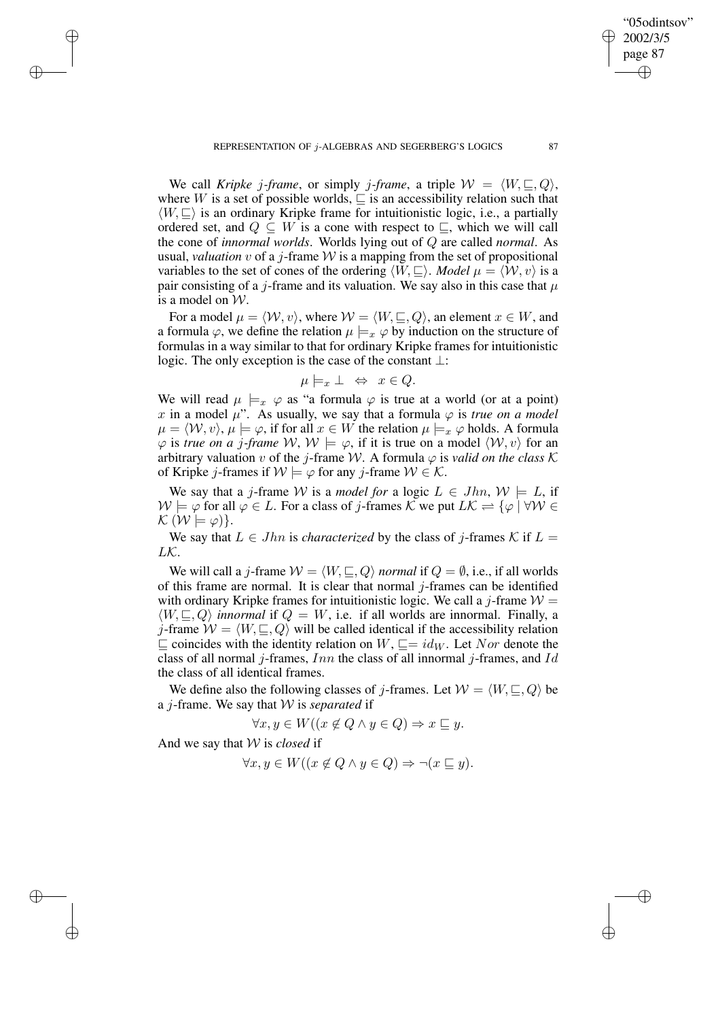We call *Kripke j*-frame, or simply *j*-frame, a triple  $W = \langle W, \sqsubseteq, Q \rangle$ , where W is a set of possible worlds,  $\sqsubseteq$  is an accessibility relation such that  $\langle W, \square \rangle$  is an ordinary Kripke frame for intuitionistic logic, i.e., a partially ordered set, and  $Q \subseteq W$  is a cone with respect to  $\subseteq$ , which we will call the cone of *innormal worlds*. Worlds lying out of Q are called *normal*. As usual, *valuation*  $v$  of a  $j$ -frame  $W$  is a mapping from the set of propositional variables to the set of cones of the ordering  $\langle W, \sqsubseteq \rangle$ . *Model*  $\mu = \langle W, v \rangle$  is a pair consisting of a *j*-frame and its valuation. We say also in this case that  $\mu$ is a model on W.

For a model  $\mu = \langle W, v \rangle$ , where  $W = \langle W, \sqsubseteq, Q \rangle$ , an element  $x \in W$ , and a formula  $\varphi$ , we define the relation  $\mu \models_x \varphi$  by induction on the structure of formulas in a way similar to that for ordinary Kripke frames for intuitionistic logic. The only exception is the case of the constant ⊥:

$$
\mu \models_x \bot \Leftrightarrow x \in Q.
$$

We will read  $\mu \models_x \varphi$  as "a formula  $\varphi$  is true at a world (or at a point) x in a model  $\mu$ ". As usually, we say that a formula  $\varphi$  is *true* on a model  $\mu = \langle W, v \rangle, \mu \models \varphi$ , if for all  $x \in W$  the relation  $\mu \models_x \varphi$  holds. A formula  $\varphi$  is *true* on *a* j-frame  $W$ ,  $W \models \varphi$ , if it is true on a model  $\langle W, v \rangle$  for an arbitrary valuation v of the j-frame W. A formula  $\varphi$  is *valid on the class* K of Kripke j-frames if  $W \models \varphi$  for any j-frame  $W \in \mathcal{K}$ .

We say that a *j*-frame W is a *model for* a logic  $L \in Jhn$ ,  $W \models L$ , if  $\mathcal{W} \models \varphi$  for all  $\varphi \in L$ . For a class of j-frames K we put  $L\mathcal{K} \rightleftharpoons {\varphi \mid \forall \mathcal{W} \in L}$  $\mathcal{K}(\mathcal{W} \models \varphi)\}.$ 

We say that  $L \in Jhn$  is *characterized* by the class of *j*-frames K if  $L =$  $LK$ .

We will call a *j*-frame  $W = \langle W, \sqsubseteq, Q \rangle$  *normal* if  $Q = \emptyset$ , i.e., if all worlds of this frame are normal. It is clear that normal  $j$ -frames can be identified with ordinary Kripke frames for intuitionistic logic. We call a j-frame  $W =$  $\langle W, \sqsubseteq, Q \rangle$  *innormal* if  $Q = W$ , i.e. if all worlds are innormal. Finally, a j-frame  $W = \langle W, \sqsubseteq, Q \rangle$  will be called identical if the accessibility relation  $\sqsubseteq$  coincides with the identity relation on  $W$ ,  $\sqsubseteq$  =  $id_W$ . Let Nor denote the class of all normal *j*-frames,  $Inn$  the class of all innormal *j*-frames, and Id the class of all identical frames.

We define also the following classes of *j*-frames. Let  $W = \langle W, \square, Q \rangle$  be a j-frame. We say that W is *separated* if

$$
\forall x, y \in W \, ((x \not\in Q \land y \in Q) \Rightarrow x \sqsubseteq y.
$$

And we say that W is *closed* if

✐

✐

✐

✐

$$
\forall x, y \in W \, (x \notin Q \land y \in Q) \Rightarrow \neg (x \sqsubseteq y).
$$

"05odintsov" 2002/3/5 page 87

✐

✐

✐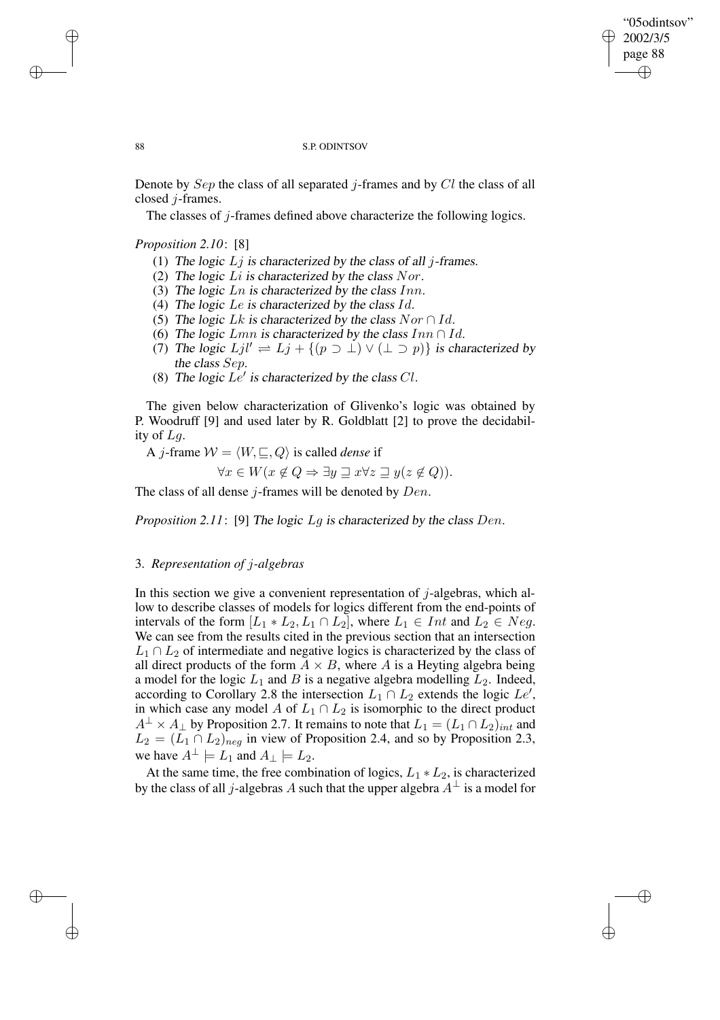✐

## 88 S.P. ODINTSOV

Denote by  $Sep$  the class of all separated j-frames and by  $Cl$  the class of all closed j-frames.

The classes of j-frames defined above characterize the following logics.

*Proposition 2.10*: [8]

- (1) The logic  $Lj$  is characterized by the class of all j-frames.
- (2) The logic  $Li$  is characterized by the class Nor.
- (3) The logic  $Ln$  is characterized by the class  $Inn$ .
- (4) The logic Le is characterized by the class  $Id$ .
- (5) The logic Lk is characterized by the class  $Nor \n A.$
- (6) The logic  $Lmn$  is characterized by the class  $Inn \cap Id$ .
- (7) The logic  $Ljl' \rightleftharpoons Lj + \{(p \supset \bot) \vee (\bot \supset p)\}$  is characterized by the class Sep.
- (8) The logic  $Le'$  is characterized by the class Cl.

The given below characterization of Glivenko's logic was obtained by P. Woodruff [9] and used later by R. Goldblatt [2] to prove the decidability of Lg.

A *j*-frame  $W = \langle W, \sqsubseteq, Q \rangle$  is called *dense* if

$$
\forall x \in W \, (x \notin Q \Rightarrow \exists y \sqsupseteq x \forall z \sqsupseteq y \, (z \notin Q)).
$$

The class of all dense  $j$ -frames will be denoted by  $Den$ .

*Proposition 2.11*: [9] The logic Lg is characterized by the class Den.

## 3. *Representation of* j*-algebras*

In this section we give a convenient representation of  $j$ -algebras, which allow to describe classes of models for logics different from the end-points of intervals of the form  $[L_1 * L_2, L_1 \cap L_2]$ , where  $L_1 \in Int$  and  $L_2 \in Neg$ . We can see from the results cited in the previous section that an intersection  $L_1 \cap L_2$  of intermediate and negative logics is characterized by the class of all direct products of the form  $A \times B$ , where A is a Heyting algebra being a model for the logic  $L_1$  and  $B$  is a negative algebra modelling  $L_2$ . Indeed, according to Corollary 2.8 the intersection  $L_1 \cap L_2$  extends the logic  $Le'$ , in which case any model A of  $L_1 \cap L_2$  is isomorphic to the direct product  $A^{\perp} \times A_{\perp}$  by Proposition 2.7. It remains to note that  $L_1 = (L_1 \cap L_2)_{int}$  and  $L_2 = (L_1 \cap L_2)_{\text{neq}}$  in view of Proposition 2.4, and so by Proposition 2.3, we have  $A^{\perp} \models L_1$  and  $A_{\perp} \models L_2$ .

At the same time, the free combination of logics,  $L_1 * L_2$ , is characterized by the class of all j-algebras A such that the upper algebra  $A^{\perp}$  is a model for

✐

✐

✐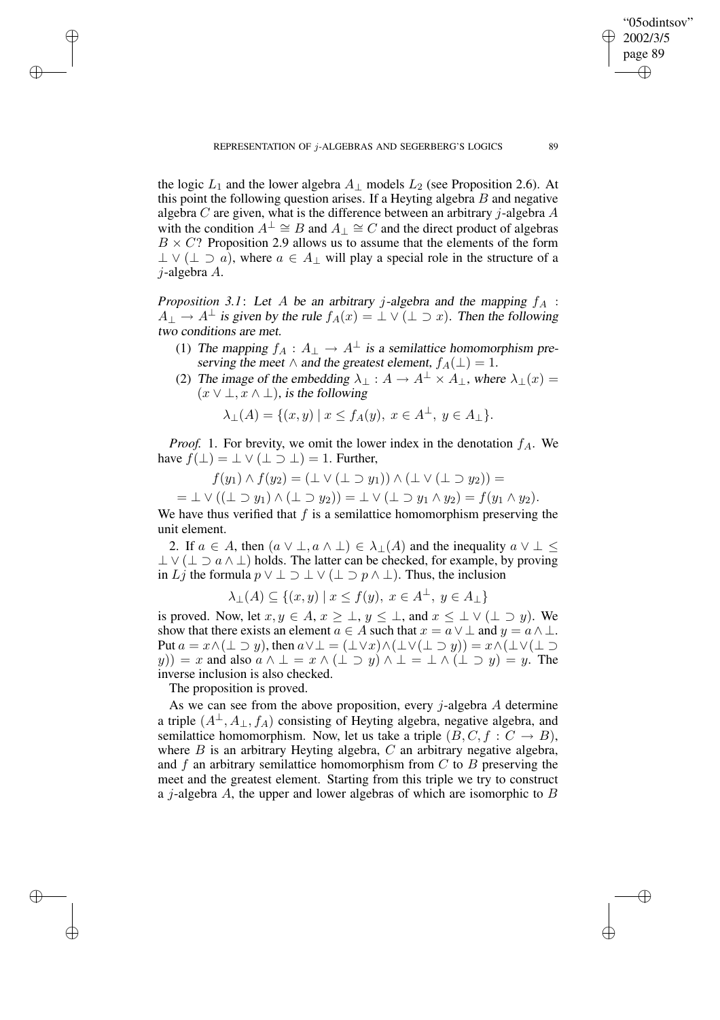the logic  $L_1$  and the lower algebra  $A_1$  models  $L_2$  (see Proposition 2.6). At this point the following question arises. If a Heyting algebra  $B$  and negative algebra C are given, what is the difference between an arbitrary  $j$ -algebra A with the condition  $A^{\perp} \cong B$  and  $A_{\perp} \cong C$  and the direct product of algebras  $B \times C$ ? Proposition 2.9 allows us to assume that the elements of the form  $\perp \vee (\perp \supset \hat{a})$ , where  $a \in A_{\perp}$  will play a special role in the structure of a j-algebra A.

*Proposition* 3.1: Let A be an arbitrary *j*-algebra and the mapping  $f_A$ :  $A_{\perp} \to A^{\perp}$  is given by the rule  $f_A(x) = \perp \vee (\perp \supset x)$ . Then the following two conditions are met.

- (1) The mapping  $f_A : A_\perp \to A^\perp$  is a semilattice homomorphism preserving the meet  $\wedge$  and the greatest element,  $f_A(\perp) = 1$ .
- (2) The image of the embedding  $\lambda_{\perp}: A \to A^{\perp} \times A_{\perp}$ , where  $\lambda_{\perp}(x) =$  $(x \vee \bot, x \wedge \bot)$ , is the following

$$
\lambda_{\perp}(A) = \{(x, y) \mid x \le f_A(y), x \in A^{\perp}, y \in A_{\perp}\}.
$$

*Proof.* 1. For brevity, we omit the lower index in the denotation  $f_A$ . We have  $f(\perp) = \perp \vee (\perp \supset \perp) = 1$ . Further,

$$
f(y_1) \wedge f(y_2) = (\perp \vee (\perp \supset y_1)) \wedge (\perp \vee (\perp \supset y_2)) =
$$

 $= \perp \vee ((\perp \supset y_1) \wedge (\perp \supset y_2)) = \perp \vee (\perp \supset y_1 \wedge y_2) = f(y_1 \wedge y_2).$ 

We have thus verified that  $f$  is a semilattice homomorphism preserving the unit element.

2. If  $a \in A$ , then  $(a \vee \bot, a \wedge \bot) \in \lambda_{\perp}(A)$  and the inequality  $a \vee \bot \leq$  $\perp \vee (\perp \supset a \wedge \perp)$  holds. The latter can be checked, for example, by proving in Lj the formula  $p \vee \perp \supset \perp \vee (\perp \supset p \wedge \perp)$ . Thus, the inclusion

$$
\lambda_{\perp}(A) \subseteq \{(x, y) \mid x \le f(y), \ x \in A^{\perp}, \ y \in A_{\perp}\}\
$$

is proved. Now, let  $x, y \in A$ ,  $x \geq \bot$ ,  $y \leq \bot$ , and  $x \leq \bot \vee (\bot \supset y)$ . We show that there exists an element  $a \in A$  such that  $x = a \vee \perp$  and  $y = a \wedge \perp$ . Put  $a = x \wedge (\perp \supset y)$ , then  $a \vee \perp = (\perp \vee x) \wedge (\perp \vee (\perp \supset y)) = x \wedge (\perp \vee (\perp \supset y))$ y)) = x and also  $a \wedge \bot = x \wedge (\bot \supset y) \wedge \bot = \bot \wedge (\bot \supset y) = y$ . The inverse inclusion is also checked.

The proposition is proved.

✐

✐

✐

✐

As we can see from the above proposition, every  $j$ -algebra  $A$  determine a triple  $(A^{\perp}, A_{\perp}, f_A)$  consisting of Heyting algebra, negative algebra, and semilattice homomorphism. Now, let us take a triple  $(B, C, f : C \rightarrow B)$ , where  $B$  is an arbitrary Heyting algebra,  $C$  an arbitrary negative algebra, and f an arbitrary semilattice homomorphism from  $C$  to  $B$  preserving the meet and the greatest element. Starting from this triple we try to construct a j-algebra  $A$ , the upper and lower algebras of which are isomorphic to  $B$ 

"05odintsov" 2002/3/5 page 89

✐

✐

✐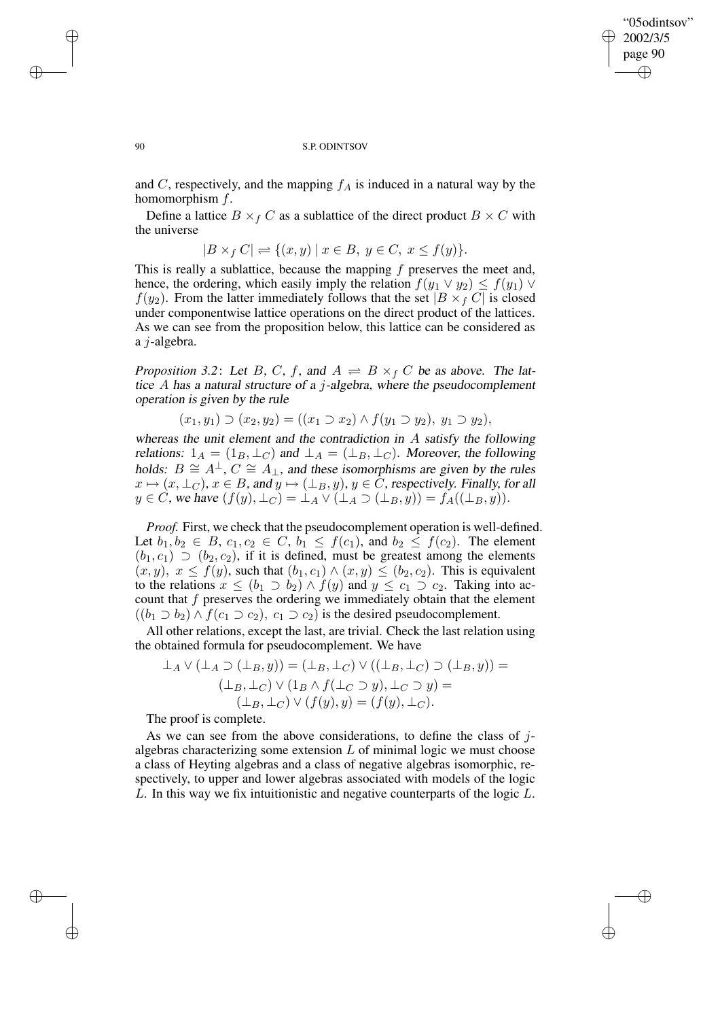✐

#### 90 S.P. ODINTSOV

and C, respectively, and the mapping  $f_A$  is induced in a natural way by the homomorphism f.

Define a lattice  $B \times_f C$  as a sublattice of the direct product  $B \times C$  with the universe

$$
B \times_f C \rvert \rightleftharpoons \{(x, y) \mid x \in B, y \in C, x \le f(y)\}.
$$

This is really a sublattice, because the mapping  $f$  preserves the meet and, hence, the ordering, which easily imply the relation  $f(y_1 \vee y_2) \leq f(y_1) \vee$  $f(y_2)$ . From the latter immediately follows that the set  $|B \times fC|$  is closed under componentwise lattice operations on the direct product of the lattices. As we can see from the proposition below, this lattice can be considered as a j-algebra.

*Proposition* 3.2: Let B, C, f, and  $A \rightleftharpoons B \times_f C$  be as above. The lattice A has <sup>a</sup> natural structure of <sup>a</sup> j-algebra, where the pseudocomplement operation is given by the rule

$$
(x_1, y_1) \supset (x_2, y_2) = ((x_1 \supset x_2) \wedge f(y_1 \supset y_2), y_1 \supset y_2),
$$

whereas the unit element and the contradiction in A satisfy the following relations:  $1_A = (1_B, \perp_C)$  and  $\perp_A = (\perp_B, \perp_C)$ . Moreover, the following holds:  $B \cong A^{\perp}$ ,  $C \cong A_{\perp}$ , and these isomorphisms are given by the rules  $x \mapsto (x, \perp_C)$ ,  $x \in B$ , and  $y \mapsto (\perp_B, y)$ ,  $y \in \overline{C}$ , respectively. Finally, for all  $y \in C$ , we have  $(f(y), \perp_C) = \perp_A \vee (\perp_A \supset (\perp_B, y)) = f_A((\perp_B, y)).$ 

*Proof.* First, we check that the pseudocomplement operation is well-defined. Let  $b_1, b_2 \in B$ ,  $c_1, c_2 \in C$ ,  $b_1 \leq f(c_1)$ , and  $b_2 \leq f(c_2)$ . The element  $(b_1, c_1) \supset (b_2, c_2)$ , if it is defined, must be greatest among the elements  $(x, y)$ ,  $x \le f(y)$ , such that  $(b_1, c_1) \wedge (x, y) \le (b_2, c_2)$ . This is equivalent to the relations  $x \le (b_1 \supset b_2) \wedge f(y)$  and  $y \le c_1 \supset c_2$ . Taking into account that  $f$  preserves the ordering we immediately obtain that the element  $((b_1 \supset b_2) \wedge f(c_1 \supset c_2), c_1 \supset c_2)$  is the desired pseudocomplement.

All other relations, except the last, are trivial. Check the last relation using the obtained formula for pseudocomplement. We have

$$
\bot_A \vee (\bot_A \supset (\bot_B, y)) = (\bot_B, \bot_C) \vee ((\bot_B, \bot_C) \supset (\bot_B, y)) =
$$
  

$$
(\bot_B, \bot_C) \vee (1_B \wedge f(\bot_C \supset y), \bot_C \supset y) =
$$
  

$$
(\bot_B, \bot_C) \vee (f(y), y) = (f(y), \bot_C).
$$

The proof is complete.

As we can see from the above considerations, to define the class of  $j$ algebras characterizing some extension  $L$  of minimal logic we must choose a class of Heyting algebras and a class of negative algebras isomorphic, respectively, to upper and lower algebras associated with models of the logic L. In this way we fix intuitionistic and negative counterparts of the logic L.

✐

✐

✐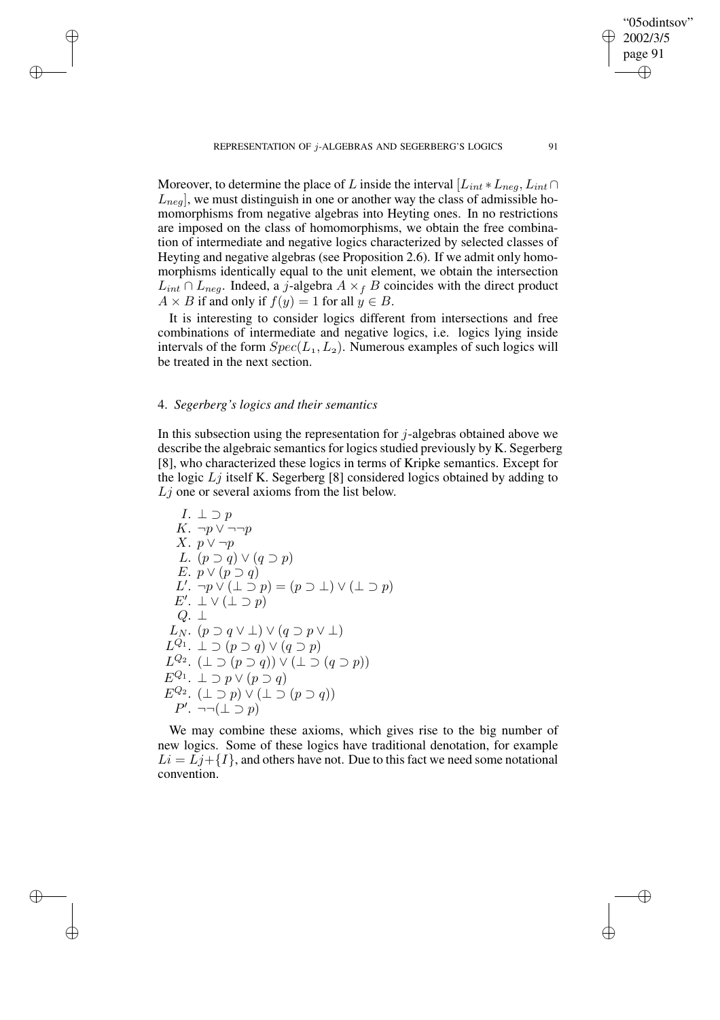Moreover, to determine the place of L inside the interval  $[L_{int} * L_{neg}, L_{int} \cap$  $L_{neq}$ , we must distinguish in one or another way the class of admissible homomorphisms from negative algebras into Heyting ones. In no restrictions are imposed on the class of homomorphisms, we obtain the free combination of intermediate and negative logics characterized by selected classes of Heyting and negative algebras (see Proposition 2.6). If we admit only homomorphisms identically equal to the unit element, we obtain the intersection  $L_{int} \cap L_{neg}$ . Indeed, a j-algebra  $A \times_f B$  coincides with the direct product  $A \times B$  if and only if  $f(y) = 1$  for all  $y \in B$ .

It is interesting to consider logics different from intersections and free combinations of intermediate and negative logics, i.e. logics lying inside intervals of the form  $Spec(L_1,L_2)$ . Numerous examples of such logics will be treated in the next section.

## 4. *Segerberg's logics and their semantics*

✐

✐

✐

✐

In this subsection using the representation for  $j$ -algebras obtained above we describe the algebraic semantics for logics studied previously by K. Segerberg [8], who characterized these logics in terms of Kripke semantics. Except for the logic  $Lj$  itself K. Segerberg [8] considered logics obtained by adding to  $L<sub>j</sub>$  one or several axioms from the list below.

I. 
$$
\bot \supset p
$$
  
\nK.  $\neg p \lor \neg \neg p$   
\nX.  $p \lor \neg p$   
\nL.  $(p \supset q) \lor (q \supset p)$   
\nE.  $p \lor (p \supset q)$   
\nL'.  $\neg p \lor (\bot \supset p) = (p \supset \bot) \lor (\bot \supset p)$   
\nE'.  $\bot \lor (\bot \supset p)$   
\nQ.  $\bot$   
\nL<sub>N</sub>.  $(p \supset q \lor \bot) \lor (q \supset p \lor \bot)$   
\nL<sup>Q<sub>1</sub></sup>.  $\bot \supset (p \supset q) \lor (q \supset p)$   
\nL<sup>Q<sub>2</sub></sup>.  $( \bot \supset (p \supset q)) \lor (\bot \supset (q \supset p))$   
\nE<sup>Q<sub>1</sub></sup>.  $\bot \supset p \lor (p \supset q)$   
\nE<sup>Q<sub>2</sub></sup>.  $( \bot \supset p) \lor (\bot \supset (p \supset q))$   
\nF'.  $\neg \neg (\bot \supset p)$ 

We may combine these axioms, which gives rise to the big number of new logics. Some of these logics have traditional denotation, for example  $Li = Lj + \{I\}$ , and others have not. Due to this fact we need some notational convention.

"05odintsov" 2002/3/5 page 91

✐

✐

✐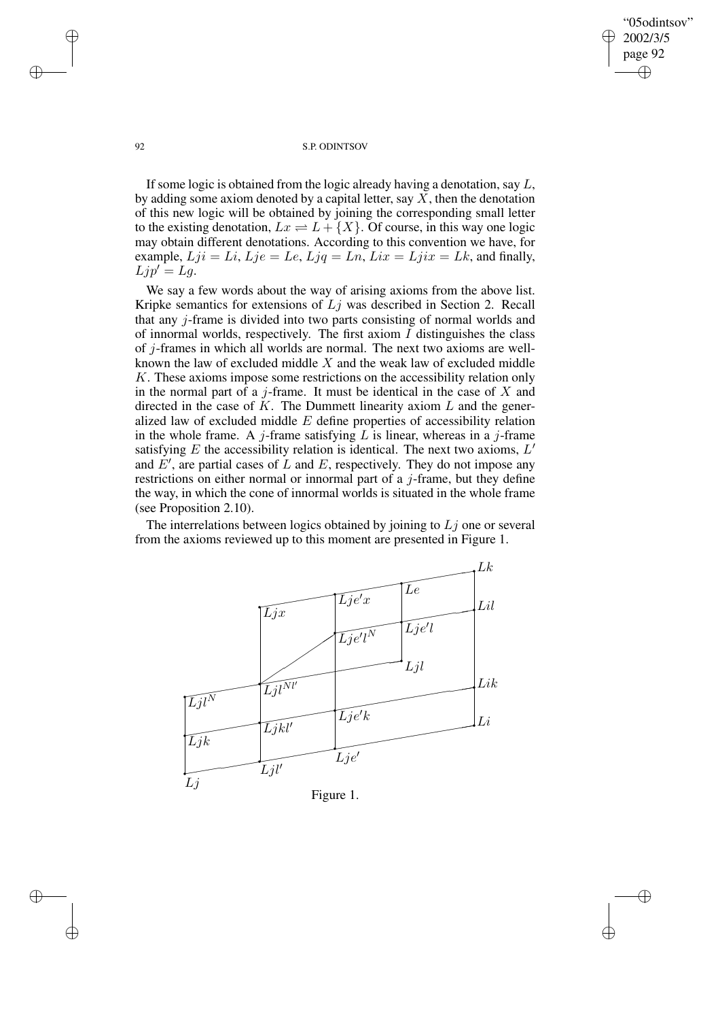"05odintsov" 2002/3/5 page 92 ✐ ✐

✐

✐

## 92 S.P. ODINTSOV

If some logic is obtained from the logic already having a denotation, say  $L$ , by adding some axiom denoted by a capital letter, say  $\overline{X}$ , then the denotation of this new logic will be obtained by joining the corresponding small letter to the existing denotation,  $Lx = L + \{X\}$ . Of course, in this way one logic may obtain different denotations. According to this convention we have, for example,  $Lji = Li$ ,  $Lje = Le$ ,  $Ljq = Ln$ ,  $Lix = Ljix = Lk$ , and finally,  $Ljp' = Lg.$ 

We say a few words about the way of arising axioms from the above list. Kripke semantics for extensions of  $Lj$  was described in Section 2. Recall that any j-frame is divided into two parts consisting of normal worlds and of innormal worlds, respectively. The first axiom  $I$  distinguishes the class of j-frames in which all worlds are normal. The next two axioms are wellknown the law of excluded middle  $X$  and the weak law of excluded middle K. These axioms impose some restrictions on the accessibility relation only in the normal part of a  $j$ -frame. It must be identical in the case of  $X$  and directed in the case of  $K$ . The Dummett linearity axiom  $L$  and the generalized law of excluded middle E define properties of accessibility relation in the whole frame. A j-frame satisfying  $L$  is linear, whereas in a j-frame satisfying  $E$  the accessibility relation is identical. The next two axioms,  $L'$ and  $E'$ , are partial cases of L and E, respectively. They do not impose any restrictions on either normal or innormal part of a  $j$ -frame, but they define the way, in which the cone of innormal worlds is situated in the whole frame (see Proposition 2.10).

The interrelations between logics obtained by joining to  $Lj$  one or several from the axioms reviewed up to this moment are presented in Figure 1.



✐

✐

✐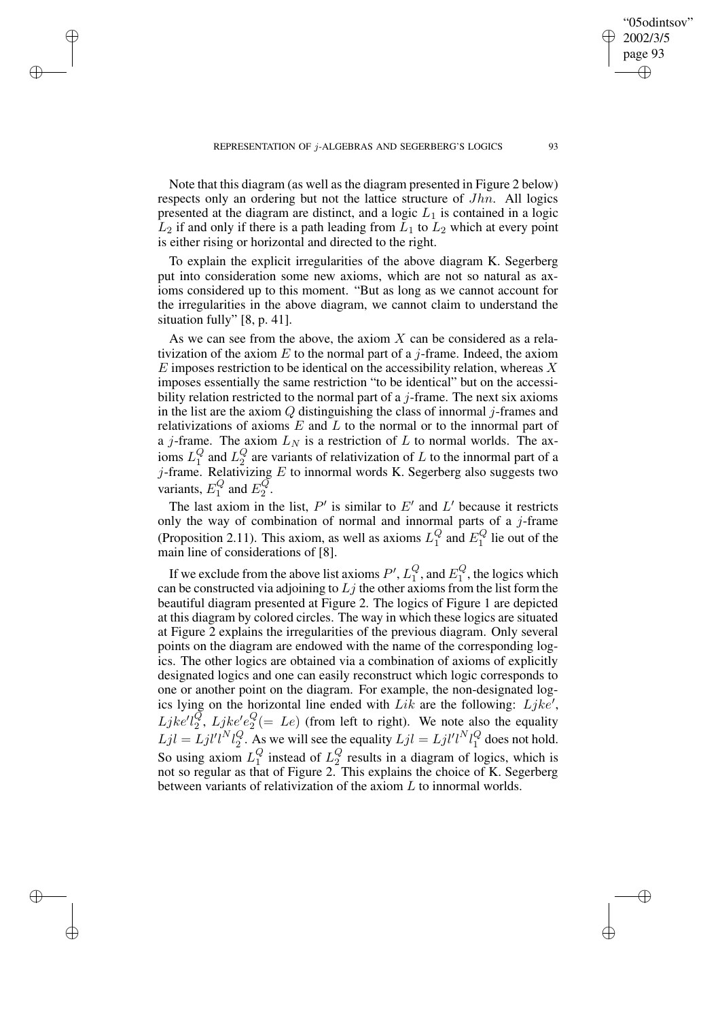✐

✐

✐

Note that this diagram (as well as the diagram presented in Figure 2 below) respects only an ordering but not the lattice structure of *Jhn*. All logics presented at the diagram are distinct, and a logic  $L_1$  is contained in a logic  $L_2$  if and only if there is a path leading from  $L_1$  to  $L_2$  which at every point is either rising or horizontal and directed to the right.

To explain the explicit irregularities of the above diagram K. Segerberg put into consideration some new axioms, which are not so natural as axioms considered up to this moment. "But as long as we cannot account for the irregularities in the above diagram, we cannot claim to understand the situation fully" [8, p. 41].

As we can see from the above, the axiom  $X$  can be considered as a relativization of the axiom  $E$  to the normal part of a *j*-frame. Indeed, the axiom  $E$  imposes restriction to be identical on the accessibility relation, whereas  $X$ imposes essentially the same restriction "to be identical" but on the accessibility relation restricted to the normal part of a *j*-frame. The next six axioms in the list are the axiom  $Q$  distinguishing the class of innormal j-frames and relativizations of axioms  $E$  and  $L$  to the normal or to the innormal part of a j-frame. The axiom  $L<sub>N</sub>$  is a restriction of L to normal worlds. The axioms  $L_1^Q$  and  $L_2^Q$  are variants of relativization of  $L$  to the innormal part of a j-frame. Relativizing  $E$  to innormal words K. Segerberg also suggests two variants,  $E_1^Q$  and  $E_2^Q$ .

The last axiom in the list,  $P'$  is similar to  $E'$  and  $L'$  because it restricts only the way of combination of normal and innormal parts of a  $j$ -frame (Proposition 2.11). This axiom, as well as axioms  $L_1^Q$  and  $E_1^Q$  lie out of the main line of considerations of [8].

If we exclude from the above list axioms  $P'$ ,  $L_1^Q$ , and  $E_1^Q$ , the logics which can be constructed via adjoining to  $Lj$  the other axioms from the list form the beautiful diagram presented at Figure 2. The logics of Figure 1 are depicted at this diagram by colored circles. The way in which these logics are situated at Figure 2 explains the irregularities of the previous diagram. Only several points on the diagram are endowed with the name of the corresponding logics. The other logics are obtained via a combination of axioms of explicitly designated logics and one can easily reconstruct which logic corresponds to one or another point on the diagram. For example, the non-designated logics lying on the horizontal line ended with  $Lik$  are the following:  $Ljke'$ ,  $Ljkel_2^Q$ ,  $Ljkel_2^Q$  (= Le) (from left to right). We note also the equality  $Ljl = Ljl'l^Nl_2^Q$ . As we will see the equality  $Ljl = Ljl'l^Nl_1^Q$  does not hold. So using axiom  $L_1^Q$  instead of  $L_2^Q$  results in a diagram of logics, which is not so regular as that of Figure 2. This explains the choice of K. Segerberg between variants of relativization of the axiom  $L$  to innormal worlds.

"05odintsov" 2002/3/5 page 93

✐

✐

✐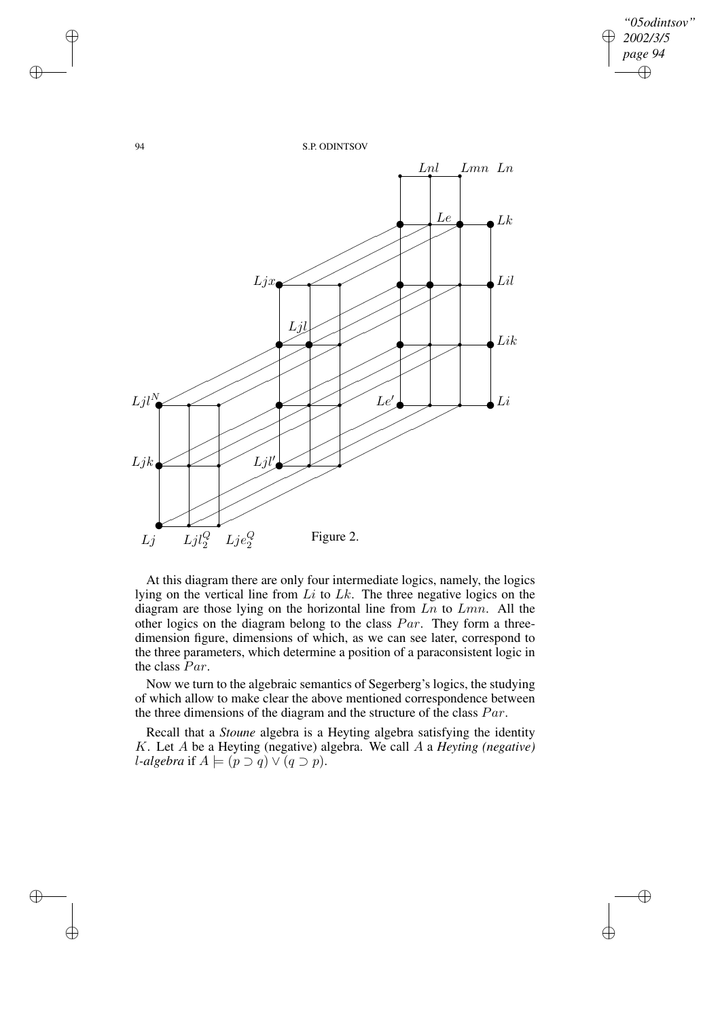$\oplus$ 



At this diagram there are only four intermediate logics, namely, the logics lying on the vertical line from  $Li$  to  $Lk$ . The three negative logics on the diagram are those lying on the horizontal line from  $Ln$  to  $Lmn$ . All the other logics on the diagram belong to the class  $Par$ . They form a threedimension figure, dimensions of which, as we can see later, correspond to the three parameters, which determine a position of a paraconsistent logic in the class Par.

Now we turn to the algebraic semantics of Segerberg's logics, the studying of which allow to make clear the above mentioned correspondence between the three dimensions of the diagram and the structure of the class  $Par$ .

Recall that a *Stoune* algebra is a Heyting algebra satisfying the identity K. Let A be a Heyting (negative) algebra. We call A a *Heyting (negative) l*-algebra if  $A \models (p \supset q) \vee (q \supset p)$ .

✐

✐

✐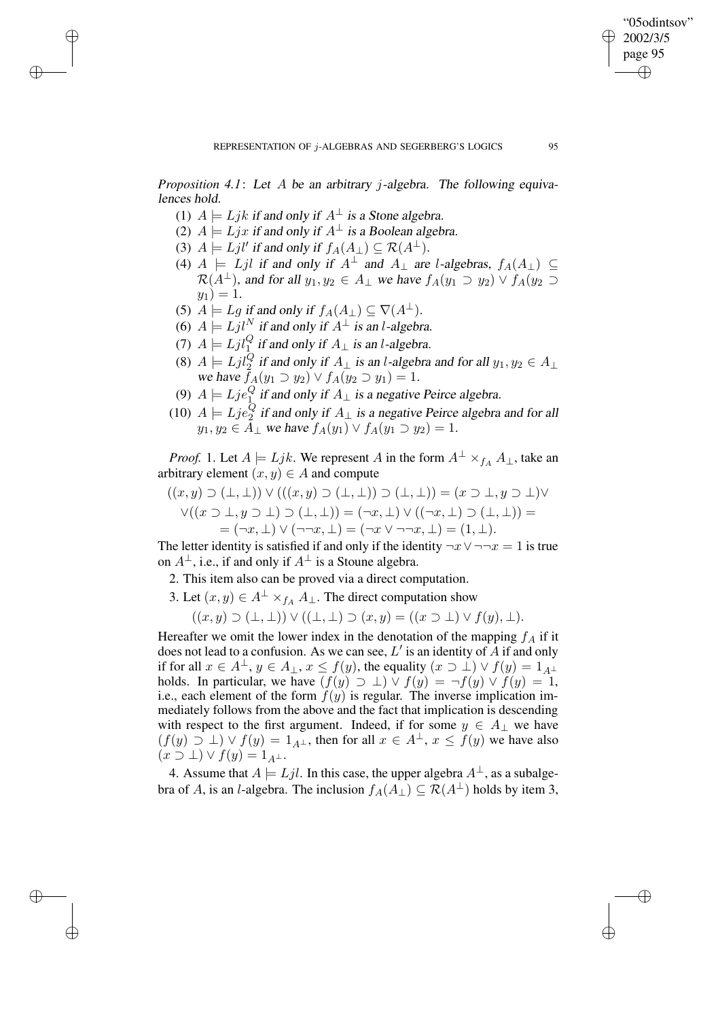✐

*Proposition 4.1*: Let A be an arbitrary j-algebra. The following equivalences hold.

- (1)  $A \models Ljk$  if and only if  $A^{\perp}$  is a Stone algebra.
- (2)  $A \models Lyx$  if and only if  $A^{\perp}$  is a Boolean algebra.
- (3)  $A \models Ljl'$  if and only if  $f_A(A_\perp) \subseteq \mathcal{R}(A^\perp)$ .

✐

✐

✐

✐

- (4)  $A \models Ljl$  if and only if  $A^{\perp}$  and  $A_{\perp}$  are l-algebras,  $f_A(A_{\perp}) \subseteq$  $\mathcal{R}(A^{\perp})$ , and for all  $y_1, y_2 \in A_{\perp}$  we have  $f_A(y_1 \supset y_2) \vee f_A(y_2 \supset$  $y_1$ ) = 1.
- (5)  $A \models Lg$  if and only if  $f_A(A_\perp) \subseteq \nabla(A^\perp)$ .
- (6)  $A \models Ljl^N$  if and only if  $A^{\perp}$  is an l-algebra.
- (7)  $A \models Ljl_1^Q$  if and only if  $A_\perp$  is an l-algebra.
- (8)  $A \models Ljl_2^Q$  if and only if  $A_\perp$  is an l-algebra and for all  $y_1, y_2 \in A_\perp$ we have  $f_A(y_1 \supset y_2) \vee f_A(y_2 \supset y_1) = 1$ .
- (9)  $A \models Lje_1^Q$  if and only if  $A_\perp$  is a negative Peirce algebra.
- (10)  $A \models Lje_2^Q$  if and only if  $A_\perp$  is a negative Peirce algebra and for all  $y_1, y_2 \in A_\perp$  we have  $f_A(y_1) \vee f_A(y_1 \supset y_2) = 1$ .

*Proof.* 1. Let  $A \models Ljk$ . We represent A in the form  $A^{\perp} \times_{f_A} A_{\perp}$ , take an arbitrary element  $(x, y) \in A$  and compute

$$
((x,y)\supset(\bot,\bot))\vee(( (x,y)\supset(\bot,\bot))\supset(\bot,\bot))=(x\supset\bot,y\supset\bot)\vee
$$
  

$$
\vee((x\supset\bot,y\supset\bot)\supset(\bot,\bot))=(\neg x,\bot)\vee((\neg x,\bot)\supset(\bot,\bot))=(
$$
  

$$
=(\neg x,\bot)\vee(\neg\neg x,\bot)=(\neg x\vee\neg\neg x,\bot)=(1,\bot).
$$

The letter identity is satisfied if and only if the identity  $\neg x \lor \neg \neg x = 1$  is true on  $A^{\perp}$ , i.e., if and only if  $A^{\perp}$  is a Stoune algebra.

2. This item also can be proved via a direct computation.

3. Let  $(x, y) \in A^{\perp} \times_{f_A} A_{\perp}$ . The direct computation show

$$
((x,y)\supset(\perp,\perp))\vee((\perp,\perp)\supset(x,y)=((x\supset\perp)\vee f(y),\perp).
$$

Hereafter we omit the lower index in the denotation of the mapping  $f_A$  if it does not lead to a confusion. As we can see,  $L'$  is an identity of A if and only if for all  $x \in A^{\perp}$ ,  $y \in A_{\perp}$ ,  $x \le f(y)$ , the equality  $(x \supset \perp) \vee f(y) = 1_{A^{\perp}}$ holds. In particular, we have  $(f(y) \supset \bot) \vee f(y) = \neg f(y) \vee f(y) = 1$ , i.e., each element of the form  $f(y)$  is regular. The inverse implication immediately follows from the above and the fact that implication is descending with respect to the first argument. Indeed, if for some  $y \in A_{\perp}$  we have  $(f(y) \supseteq \bot) \vee f(y) = 1_{A^{\perp}}$ , then for all  $x \in A^{\perp}$ ,  $x \le f(y)$  we have also  $(x \supset \bot) \vee f(y) = 1_{A^{\perp}}.$ 

4. Assume that  $A \models Ljl$ . In this case, the upper algebra  $A^{\perp}$ , as a subalgebra of A, is an l-algebra. The inclusion  $f_A(A_\perp) \subseteq \mathcal{R}(A^\perp)$  holds by item 3,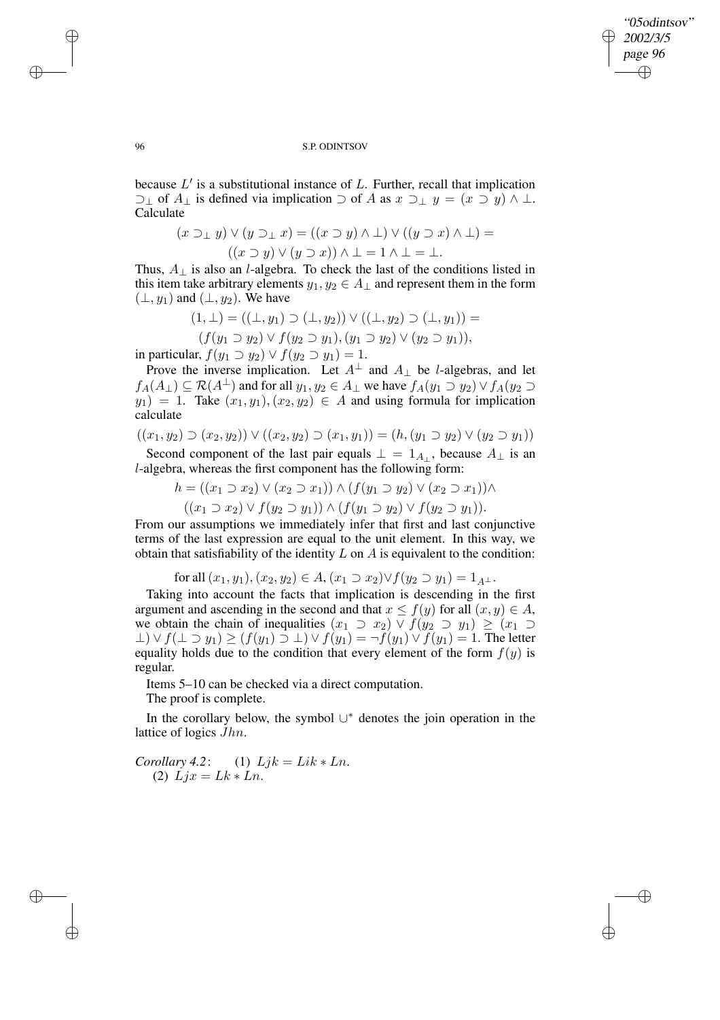"05odintsov" 2002/3/5 page 96 ✐ ✐

✐

✐

## 96 S.P. ODINTSOV

because  $L'$  is a substitutional instance of  $L$ . Further, recall that implication  $\supseteq$  of  $A_{\perp}$  is defined via implication  $\supset$  of A as  $x \supseteq_{\perp} y = (x \supseteq y) \wedge \perp$ . Calculate

$$
(x \supset_{\perp} y) \vee (y \supset_{\perp} x) = ((x \supset y) \wedge \perp) \vee ((y \supset x) \wedge \perp) =
$$

$$
((x \supset y) \vee (y \supset x)) \wedge \perp = 1 \wedge \perp = \perp.
$$

Thus,  $A_{\perp}$  is also an *l*-algebra. To check the last of the conditions listed in this item take arbitrary elements  $y_1, y_2 \in A_\perp$  and represent them in the form  $(\perp, y_1)$  and  $(\perp, y_2)$ . We have

$$
(1, \perp) = ((\perp, y_1) \supset (\perp, y_2)) \vee ((\perp, y_2) \supset (\perp, y_1)) =
$$
  

$$
(f(y_1 \supset y_2) \vee f(y_2 \supset y_1), (y_1 \supset y_2) \vee (y_2 \supset y_1)),
$$

in particular,  $f(y_1 \supset y_2) \vee f(y_2 \supset y_1) = 1$ .

Prove the inverse implication. Let  $A^{\perp}$  and  $A_{\perp}$  be *l*-algebras, and let  $f_A(A_\perp) \subseteq \mathcal{R}(A^\perp)$  and for all  $y_1, y_2 \in A_\perp$  we have  $f_A(y_1 \supset y_2) \vee f_A(y_2 \supset$  $y_1$ ) = 1. Take  $(x_1, y_1), (x_2, y_2) \in A$  and using formula for implication calculate

$$
((x_1, y_2) \supset (x_2, y_2)) \vee ((x_2, y_2) \supset (x_1, y_1)) = (h, (y_1 \supset y_2) \vee (y_2 \supset y_1))
$$

Second component of the last pair equals  $\perp = 1_{A_{\perp}}$ , because  $A_{\perp}$  is an l-algebra, whereas the first component has the following form:

$$
h = ((x_1 \supset x_2) \vee (x_2 \supset x_1)) \wedge (f(y_1 \supset y_2) \vee (x_2 \supset x_1)) \wedge
$$

$$
((x_1 \supset x_2) \vee f(y_2 \supset y_1)) \wedge (f(y_1 \supset y_2) \vee f(y_2 \supset y_1)).
$$

From our assumptions we immediately infer that first and last conjunctive terms of the last expression are equal to the unit element. In this way, we obtain that satisfiability of the identity  $L$  on  $A$  is equivalent to the condition:

for all 
$$
(x_1, y_1)
$$
,  $(x_2, y_2) \in A$ ,  $(x_1 \supset x_2) \vee f(y_2 \supset y_1) = 1_{A^{\perp}}$ .

Taking into account the facts that implication is descending in the first argument and ascending in the second and that  $x \le f(y)$  for all  $(x, y) \in A$ , we obtain the chain of inequalities  $(x_1 \supset x_2) \vee f(y_2 \supset y_1) \geq (x_1 \supset y_2)$  $\bot) \vee f(\bot \supset y_1) \ge (f(y_1) \supset \bot) \vee f(y_1) = \neg f(y_1) \vee f(y_1) = 1$ . The letter equality holds due to the condition that every element of the form  $f(y)$  is regular.

Items 5–10 can be checked via a direct computation.

The proof is complete.

In the corollary below, the symbol ∪ <sup>∗</sup> denotes the join operation in the lattice of logics Jhn.

*Corollary* 4.2: (1)  $Ljk = Lik * Ln$ . (2)  $Lix = Lk * Ln$ .

✐

✐

✐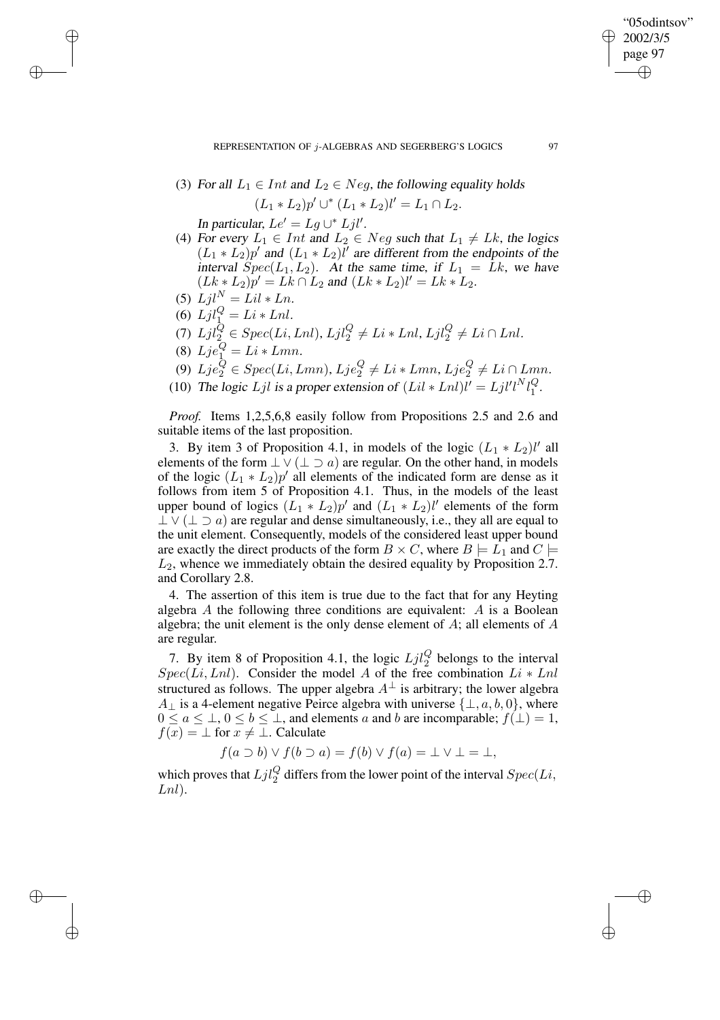REPRESENTATION OF j-ALGEBRAS AND SEGERBERG'S LOGICS 97

(3) For all 
$$
L_1 \in Int
$$
 and  $L_2 \in Neg$ , the following equality holds

$$
(L_1 * L_2)p' \cup^* (L_1 * L_2) l' = L_1 \cap L_2.
$$

In particular,  $Le' = Lg \cup^* Ljl'.$ 

- (4) For every  $L_1 \in Int$  and  $L_2 \in Neg$  such that  $L_1 \neq Lk$ , the logics  $(L_1 * L_2)p'$  and  $(L_1 * L_2)\ell'$  are different from the endpoints of the interval  $Spec(L_1, L_2)$ . At the same time, if  $L_1 = Lk$ , we have  $(Lk * L_2)p' = Lk \cap L_2$  and  $(Lk * L_2)l' = Lk * L_2$ .
- (5)  $Ljl^N = Lil * Ln.$
- (6)  $Ljl_1^Q = Li * Lnl.$

✐

✐

✐

✐

- (7)  $Ljl_2^Q \in Spec(Li, Lnl), Ljl_2^Q \neq Li * Lnl, Ljl_2^Q \neq Li \cap Lnl.$
- (8)  $Lje_1^Q = Li * Lmn$ .
- (9)  $Lje_2^Q \in Spec(Li,Lmn)$ ,  $Lje_2^Q \neq Li * Lmn$ ,  $Lje_2^Q \neq Li \cap Lmn$ .
- (10) The logic Ljl is a proper extension of  $(Lil * Lnl)l' = Ljl'l'l_1^Q$ .

*Proof.* Items 1,2,5,6,8 easily follow from Propositions 2.5 and 2.6 and suitable items of the last proposition.

3. By item 3 of Proposition 4.1, in models of the logic  $(L_1 * L_2)l'$  all elements of the form  $\perp \vee (\perp \supset a)$  are regular. On the other hand, in models of the logic  $(L_1 * L_2)p'$  all elements of the indicated form are dense as it follows from item 5 of Proposition 4.1. Thus, in the models of the least upper bound of logics  $(L_1 * L_2)p'$  and  $(L_1 * L_2)l'$  elements of the form  $\perp \vee (\perp \supset a)$  are regular and dense simultaneously, i.e., they all are equal to the unit element. Consequently, models of the considered least upper bound are exactly the direct products of the form  $B \times C$ , where  $B \models L_1$  and  $C \models$  $L_2$ , whence we immediately obtain the desired equality by Proposition 2.7. and Corollary 2.8.

4. The assertion of this item is true due to the fact that for any Heyting algebra  $A$  the following three conditions are equivalent:  $A$  is a Boolean algebra; the unit element is the only dense element of  $A$ ; all elements of  $A$ are regular.

7. By item 8 of Proposition 4.1, the logic  $Ljl_2^Q$  belongs to the interval  $Spec(Li, Lnl)$ . Consider the model A of the free combination  $Li * Lnl$ structured as follows. The upper algebra  $A^{\perp}$  is arbitrary; the lower algebra  $A_{\perp}$  is a 4-element negative Peirce algebra with universe  $\{\perp, a, b, 0\}$ , where  $0 \le a \le \perp, 0 \le b \le \perp$ , and elements a and b are incomparable;  $f(\perp) = 1$ ,  $f(x) = \perp$  for  $x \neq \perp$ . Calculate

$$
f(a \supset b) \vee f(b \supset a) = f(b) \vee f(a) = \bot \vee \bot = \bot,
$$

which proves that  $Ljl_2^Q$  differs from the lower point of the interval  $Spec(Li,$  $Lnl$ ).

"05odintsov" 2002/3/5 page 97

✐

✐

✐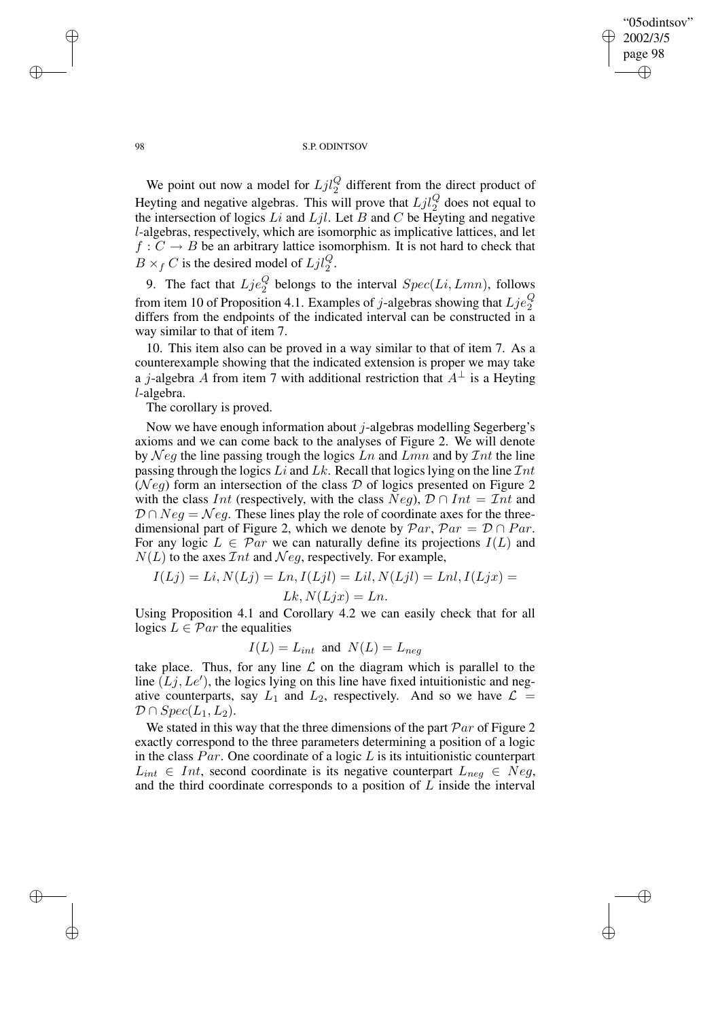✐

## 98 S.P. ODINTSOV

We point out now a model for  $Ljl_2^Q$  different from the direct product of Heyting and negative algebras. This will prove that  $Ljl_2^Q$  does not equal to the intersection of logics  $Li$  and  $Ljl$ . Let  $B$  and  $C$  be Heyting and negative l-algebras, respectively, which are isomorphic as implicative lattices, and let  $f: C \to B$  be an arbitrary lattice isomorphism. It is not hard to check that  $B \times_f C$  is the desired model of  $Ljl_2^Q$ .

9. The fact that  $Lje_2^Q$  belongs to the interval  $Spec(Li, Lmn)$ , follows from item 10 of Proposition 4.1. Examples of j-algebras showing that  $Lje_2^Q$ differs from the endpoints of the indicated interval can be constructed in a way similar to that of item 7.

10. This item also can be proved in a way similar to that of item 7. As a counterexample showing that the indicated extension is proper we may take a *j*-algebra A from item 7 with additional restriction that  $A^{\perp}$  is a Heyting l-algebra.

The corollary is proved.

Now we have enough information about  $j$ -algebras modelling Segerberg's axioms and we can come back to the analyses of Figure 2. We will denote by  $Neg$  the line passing trough the logics  $Ln$  and  $Lmn$  and by  $Int$  the line passing through the logics Li and Lk. Recall that logics lying on the line  $Int$ ( $N \neq q$ ) form an intersection of the class D of logics presented on Figure 2 with the class Int (respectively, with the class  $Neg$ ),  $\mathcal{D} \cap Int = Int$  and  $D \cap Neg = Neg$ . These lines play the role of coordinate axes for the threedimensional part of Figure 2, which we denote by  $\mathcal{P}ar$ ,  $\mathcal{P}ar = \mathcal{D} \cap Par$ . For any logic  $L \in \mathcal{P}ar$  we can naturally define its projections  $I(L)$  and  $N(L)$  to the axes  $\mathcal{I}nt$  and  $\mathcal{N}eg$ , respectively. For example,

$$
I(Lj) = Li, N(Lj) = Ln, I(Ljl) = Lil, N(Ljl) = Lnl, I(Ljx) =
$$
  

$$
Lk, N(Ljx) = Ln.
$$

Using Proposition 4.1 and Corollary 4.2 we can easily check that for all logics  $L \in \mathcal{P}$ ar the equalities

$$
I(L) = L_{int} \text{ and } N(L) = L_{neg}
$$

take place. Thus, for any line  $\mathcal L$  on the diagram which is parallel to the line  $(Lj, Le')$ , the logics lying on this line have fixed intuitionistic and negative counterparts, say  $L_1$  and  $L_2$ , respectively. And so we have  $\mathcal{L} =$  $\mathcal{D} \cap Spec(L_1,L_2).$ 

We stated in this way that the three dimensions of the part  $\mathcal{P}ar$  of Figure 2 exactly correspond to the three parameters determining a position of a logic in the class  $Par$ . One coordinate of a logic  $L$  is its intuitionistic counterpart  $L_{int} \in Int$ , second coordinate is its negative counterpart  $L_{neg} \in Neg$ , and the third coordinate corresponds to a position of  $L$  inside the interval

✐

✐

✐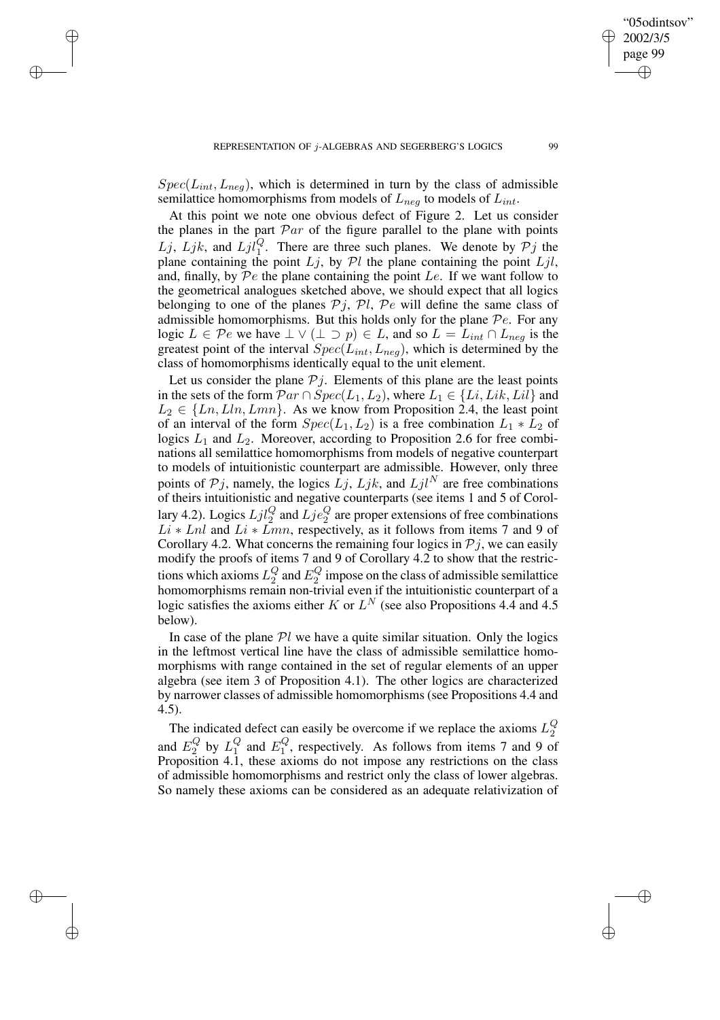✐

✐

✐

 $Spec(L_{int}, L_{neg})$ , which is determined in turn by the class of admissible semilattice homomorphisms from models of  $L_{neg}$  to models of  $L_{int}$ .

At this point we note one obvious defect of Figure 2. Let us consider the planes in the part  $\mathcal{P}ar$  of the figure parallel to the plane with points Lj, Ljk, and  $Ljl_1^Q$ . There are three such planes. We denote by  $Pj$  the plane containing the point  $Lj$ , by  $\mathcal{P}l$  the plane containing the point  $Ljl$ , and, finally, by  $\mathcal{P}e$  the plane containing the point  $Le$ . If we want follow to the geometrical analogues sketched above, we should expect that all logics belonging to one of the planes  $P_j$ ,  $Pl$ ,  $Pe$  will define the same class of admissible homomorphisms. But this holds only for the plane  $\mathcal{P}e$ . For any logic  $L \in \mathcal{P}e$  we have  $\perp \vee (\perp \supset p) \in L$ , and so  $L = L_{int} \cap L_{neg}$  is the greatest point of the interval  $Spec(L_{int},L_{neg})$ , which is determined by the class of homomorphisms identically equal to the unit element.

Let us consider the plane  $Pj$ . Elements of this plane are the least points in the sets of the form  $\mathcal{P}ar \cap Spec(L_1,L_2)$ , where  $L_1 \in \{Li, Lik, Lil\}$  and  $L_2 \in \{Ln, Lln, Lmn\}$ . As we know from Proposition 2.4, the least point of an interval of the form  $Spec(L_1, L_2)$  is a free combination  $L_1 * L_2$  of logics  $L_1$  and  $L_2$ . Moreover, according to Proposition 2.6 for free combinations all semilattice homomorphisms from models of negative counterpart to models of intuitionistic counterpart are admissible. However, only three points of  $Pj$ , namely, the logics  $\overline{L}j$ ,  $\overline{L}jk$ , and  $\overline{L}jl^N$  are free combinations of theirs intuitionistic and negative counterparts (see items 1 and 5 of Corollary 4.2). Logics  $Ljl_2^Q$  and  $Lj e_2^Q$  are proper extensions of free combinations  $Li * Lnl$  and  $Li * Lmn$ , respectively, as it follows from items 7 and 9 of Corollary 4.2. What concerns the remaining four logics in  $P_j$ , we can easily modify the proofs of items 7 and 9 of Corollary 4.2 to show that the restrictions which axioms  $L_2^Q$  and  $E_2^Q$  impose on the class of admissible semilattice homomorphisms remain non-trivial even if the intuitionistic counterpart of a logic satisfies the axioms either K or  $L^N$  (see also Propositions 4.4 and 4.5 below).

In case of the plane  $Pl$  we have a quite similar situation. Only the logics in the leftmost vertical line have the class of admissible semilattice homomorphisms with range contained in the set of regular elements of an upper algebra (see item 3 of Proposition 4.1). The other logics are characterized by narrower classes of admissible homomorphisms (see Propositions 4.4 and 4.5).

The indicated defect can easily be overcome if we replace the axioms  $L_2^Q$ and  $E_2^Q$  by  $L_1^Q$  and  $E_1^Q$ , respectively. As follows from items 7 and 9 of Proposition 4.1, these axioms do not impose any restrictions on the class of admissible homomorphisms and restrict only the class of lower algebras. So namely these axioms can be considered as an adequate relativization of

"05odintsov" 2002/3/5 page 99

✐

✐

✐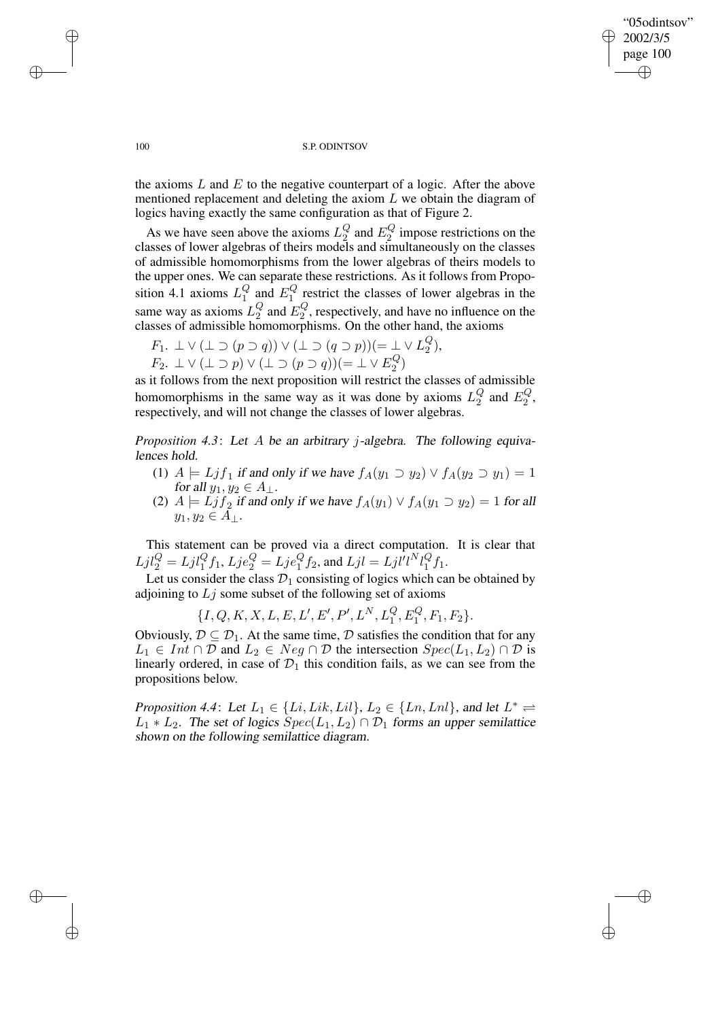✐

## 100 S.P. ODINTSOV

the axioms  $L$  and  $E$  to the negative counterpart of a logic. After the above mentioned replacement and deleting the axiom  $L$  we obtain the diagram of logics having exactly the same configuration as that of Figure 2.

As we have seen above the axioms  $L_2^Q$  and  $E_2^Q$  impose restrictions on the classes of lower algebras of theirs models and simultaneously on the classes of admissible homomorphisms from the lower algebras of theirs models to the upper ones. We can separate these restrictions. As it follows from Proposition 4.1 axioms  $L_1^Q$  and  $E_1^Q$  restrict the classes of lower algebras in the same way as axioms  $L_2^Q$  and  $E_2^Q$ , respectively, and have no influence on the classes of admissible homomorphisms. On the other hand, the axioms

$$
F_1. \perp \vee (\perp \supset (p \supset q)) \vee (\perp \supset (q \supset p)) (= \perp \vee L_2^Q),
$$

 $F_2$ .  $\perp \vee (\perp \supset p) \vee (\perp \supset (p \supset q)) (= \perp \vee E_2^Q)$ 

as it follows from the next proposition will restrict the classes of admissible homomorphisms in the same way as it was done by axioms  $L_2^Q$  and  $E_2^Q$ , respectively, and will not change the classes of lower algebras.

*Proposition 4.3*: Let A be an arbitrary j-algebra. The following equivalences hold.

- (1)  $A \models L j f_1$  if and only if we have  $f_A(y_1 \supset y_2) \vee f_A(y_2 \supset y_1) = 1$ for all  $y_1, y_2 \in A_\perp$ .
- (2)  $A \models L j f_2$  if and only if we have  $f_A(y_1) \vee f_A(y_1 \supset y_2) = 1$  for all  $y_1, y_2 \in A_{\perp}.$

This statement can be proved via a direct computation. It is clear that  $Ljl_2^Q = Ljl_1^Qf_1, Lje_2^Q = Lje_1^Qf_2$ , and  $Ljl = Ljl^l l^N l_1^Qf_1$ .

Let us consider the class  $\mathcal{D}_1$  consisting of logics which can be obtained by adjoining to  $Lj$  some subset of the following set of axioms

$$
\{I, Q, K, X, L, E, L', E', P', L^N, L_1^Q, E_1^Q, F_1, F_2\}.
$$

Obviously,  $\mathcal{D} \subseteq \mathcal{D}_1$ . At the same time,  $\mathcal D$  satisfies the condition that for any  $L_1 \in Int \cap \mathcal{D}$  and  $L_2 \in Neg \cap \mathcal{D}$  the intersection  $Spec(L_1, L_2) \cap \mathcal{D}$  is linearly ordered, in case of  $\mathcal{D}_1$  this condition fails, as we can see from the propositions below.

*Proposition* 4.4: Let  $L_1 \in \{Li, Lik, Lil\}$ ,  $L_2 \in \{Ln, Lnl\}$ , and let  $L^* \rightleftharpoons$  $L_1 * L_2$ . The set of logics  $Spec(L_1, L_2) \cap \mathcal{D}_1$  forms an upper semilattice shown on the following semilattice diagram.

 $\rightarrow$ 

 $\rightarrow$ 

✐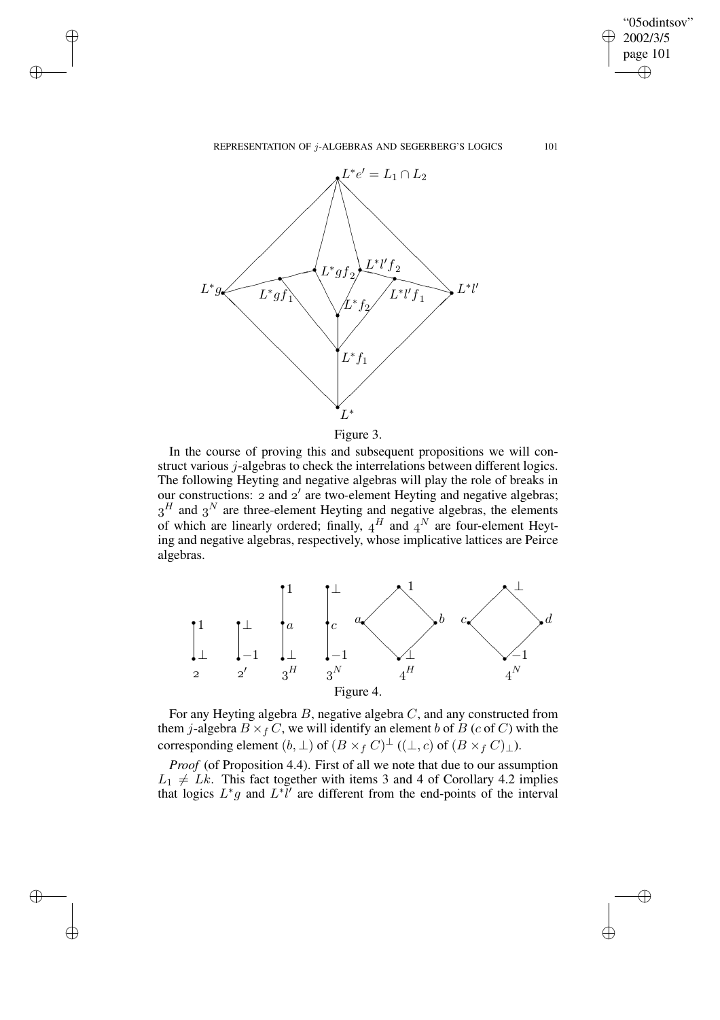REPRESENTATION OF j-ALGEBRAS AND SEGERBERG'S LOGICS 101

"05odintsov" 2002/3/5 page 101

✐

✐

✐

✐



 $\rightarrow$ 

 $\rightarrow$ 

✐

✐



In the course of proving this and subsequent propositions we will construct various j-algebras to check the interrelations between different logics. The following Heyting and negative algebras will play the role of breaks in our constructions:  $2$  and  $2'$  are two-element Heyting and negative algebras;  $3<sup>H</sup>$  and  $3<sup>N</sup>$  are three-element Heyting and negative algebras, the elements of which are linearly ordered; finally,  $4^H$  and  $4^N$  are four-element Heyting and negative algebras, respectively, whose implicative lattices are Peirce algebras.



For any Heyting algebra  $B$ , negative algebra  $C$ , and any constructed from them *j*-algebra  $B \times_f C$ , we will identify an element b of B (c of C) with the corresponding element  $(b, \perp)$  of  $(B \times_f C)^{\perp}$   $((\perp, c)$  of  $(B \times_f C)_{\perp}$ ).

*Proof* (of Proposition 4.4). First of all we note that due to our assumption  $L_1 \neq Lk$ . This fact together with items 3 and 4 of Corollary 4.2 implies that logics  $L^*g$  and  $L^*l'$  are different from the end-points of the interval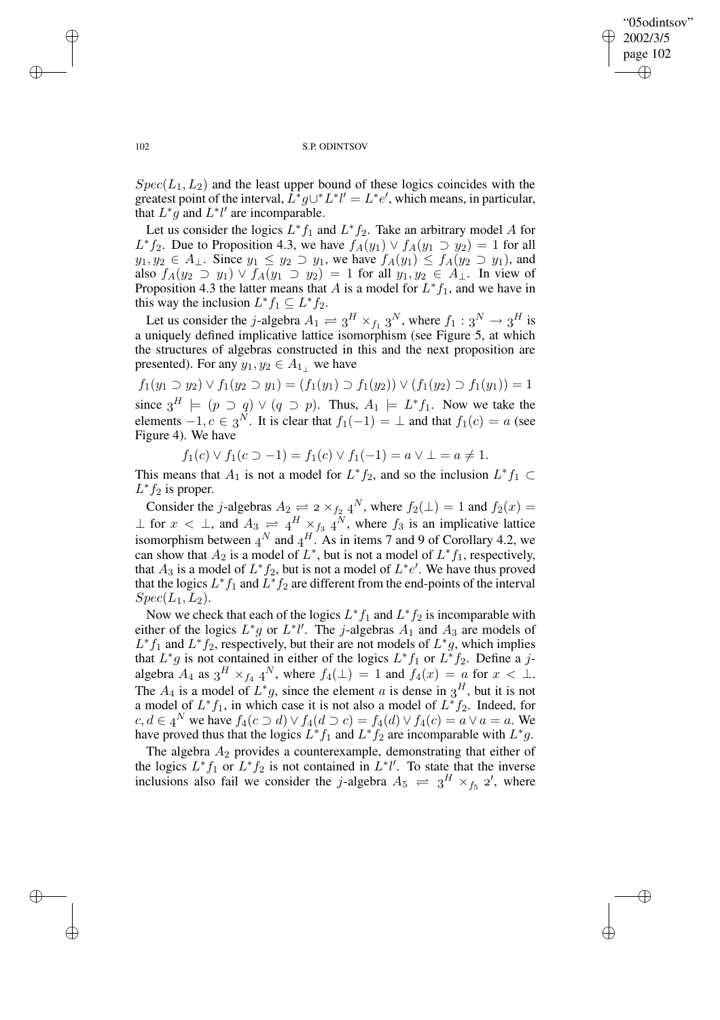✐

## 102 S.P. ODINTSOV

 $Spec(L_1, L_2)$  and the least upper bound of these logics coincides with the greatest point of the interval,  $L^*g\cup L^*l' = L^*e'$ , which means, in particular, that  $L^*g$  and  $L^*l'$  are incomparable.

Let us consider the logics  $L^* f_1$  and  $L^* f_2$ . Take an arbitrary model A for  $L^*f_2$ . Due to Proposition 4.3, we have  $f_A(y_1) \vee f_A(y_1 \supset y_2) = 1$  for all  $y_1, y_2 \in A_\perp$ . Since  $y_1 \le y_2 \supset y_1$ , we have  $f_A(y_1) \le f_A(y_2 \supset y_1)$ , and also  $f_A(y_2 \supset y_1) \vee f_A(y_1 \supset y_2) = 1$  for all  $y_1, y_2 \in A_\perp$ . In view of Proposition 4.3 the latter means that A is a model for  $L^*f_1$ , and we have in this way the inclusion  $L^* f_1 \subseteq L^* f_2$ .

Let us consider the j-algebra  $A_1 \rightleftharpoons 3^H \times_{f_1} 3^N$ , where  $f_1: 3^N \rightarrow 3^H$  is a uniquely defined implicative lattice isomorphism (see Figure 5, at which the structures of algebras constructed in this and the next proposition are presented). For any  $y_1, y_2 \in A_{1\perp}$  we have

 $f_1(y_1 \supset y_2) \vee f_1(y_2 \supset y_1) = (f_1(y_1) \supset f_1(y_2)) \vee (f_1(y_2) \supset f_1(y_1)) = 1$ since  $3^H \models (p \supset q) \vee (q \supset p)$ . Thus,  $A_1 \models L^* f_1$ . Now we take the

elements  $-1, c \in \mathfrak{z}^N$ . It is clear that  $f_1(-1) = \perp$  and that  $f_1(c) = a$  (see Figure 4). We have

 $f_1(c) \vee f_1(c \supset -1) = f_1(c) \vee f_1(-1) = a \vee \bot = a \neq 1.$ 

This means that  $A_1$  is not a model for  $L^* f_2$ , and so the inclusion  $L^* f_1 \subset$  $L^*f_2$  is proper.

Consider the *j*-algebras  $A_2 \rightleftharpoons 2 \times_{f_2} 4^N$ , where  $f_2(\perp) = 1$  and  $f_2(x) = 1$  $\perp$  for  $x < \perp$ , and  $A_3 \rightleftharpoons 4^H \times_{f_3} 4^N$ , where  $f_3$  is an implicative lattice isomorphism between  $A^N$  and  $A^H$ . As in items 7 and 9 of Corollary 4.2, we can show that  $A_2$  is a model of  $L^*$ , but is not a model of  $L^* f_1$ , respectively, that  $A_3$  is a model of  $L^* f_2$ , but is not a model of  $L^* e'$ . We have thus proved that the logics  $L^*f_1$  and  $L^*f_2$  are different from the end-points of the interval  $Spec(L_1,L_2).$ 

Now we check that each of the logics  $L^* f_1$  and  $L^* f_2$  is incomparable with either of the logics  $L^*g$  or  $L^*l'$ . The *j*-algebras  $A_1$  and  $A_3$  are models of  $L^*f_1$  and  $L^*f_2$ , respectively, but their are not models of  $L^*g$ , which implies that  $L^*g$  is not contained in either of the logics  $L^*f_1$  or  $L^*f_2$ . Define a jalgebra  $A_4$  as  $3^H \times_{f_4} 4^N$ , where  $f_4(\perp) = 1$  and  $f_4(x) = a$  for  $x < \perp$ . The  $A_4$  is a model of  $L^*g$ , since the element a is dense in  $3^H$ , but it is not a model of  $L^* f_1$ , in which case it is not also a model of  $L^* f_2$ . Indeed, for  $c, d \in A^N$  we have  $f_4(c \supset d) \vee f_4(d \supset c) = f_4(d) \vee f_4(c) = a \vee a = a$ . We have proved thus that the logics  $L^* f_1$  and  $L^* f_2$  are incomparable with  $L^* g$ .

The algebra  $A_2$  provides a counterexample, demonstrating that either of the logics  $L^* f_1$  or  $L^* f_2$  is not contained in  $L^* l'$ . To state that the inverse inclusions also fail we consider the *j*-algebra  $A_5 \rightleftharpoons 3^H \times_{f_5} 2'$ , where

 $\rightarrow$ 

 $\rightarrow$ 

✐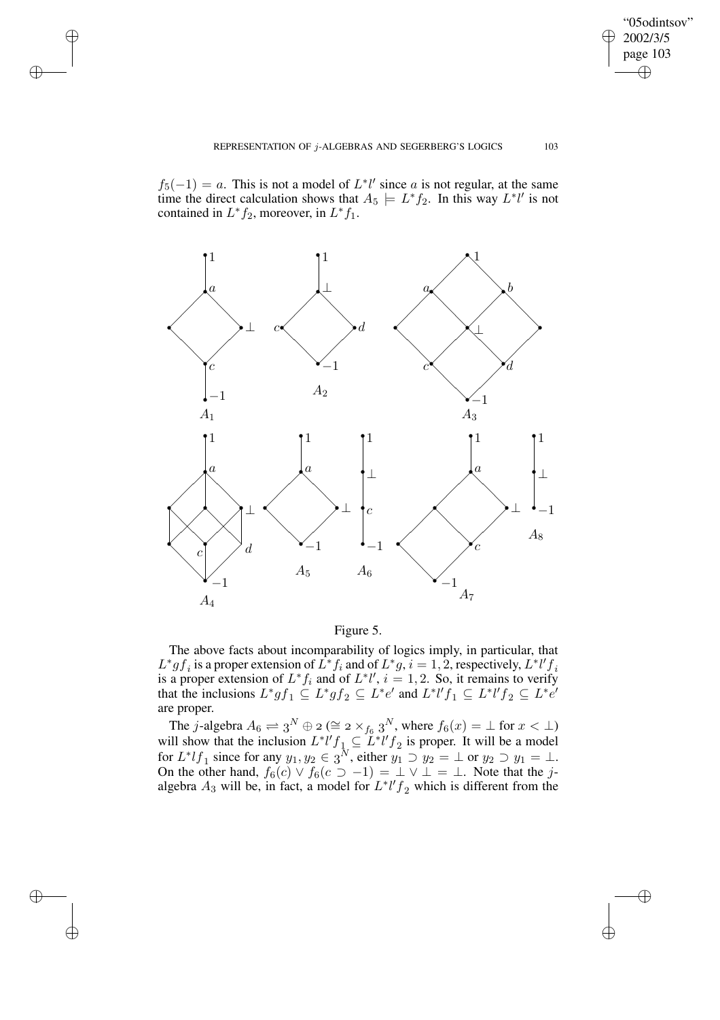"05odintsov" 2002/3/5 page 103

 $\bigoplus$ 

✐

 $\bigoplus$ 

✐

 $f_5(-1) = a$ . This is not a model of  $L^*l'$  since a is not regular, at the same time the direct calculation shows that  $A_5 \models L^* f_2$ . In this way  $L^* l'$  is not contained in  $L^* f_2$ , moreover, in  $L^* f_1$ .

 $\rightarrow$ 

 $\rightarrow$ 

✐

✐



Figure 5.

The above facts about incomparability of logics imply, in particular, that  $L^*gf_i$  is a proper extension of  $L^*f_i$  and of  $L^*g, i = 1, 2$ , respectively,  $L^*l'f_i$ is a proper extension of  $L^* f_i$  and of  $L^* l'$ ,  $i = 1, 2$ . So, it remains to verify that the inclusions  $L^*gf_1 \subseteq L^*gf_2 \subseteq L^*e'$  and  $L^*l'f_1 \subseteq L^*l'f_2 \subseteq L^*e'$ are proper.

The j-algebra  $A_6 \rightleftharpoons 3^N \oplus 2 \ (\cong 2 \times_{f_6} 3^N)$ , where  $f_6(x) = \bot$  for  $x < \bot$ ) will show that the inclusion  $L^*l'f_1 \subseteq L^*l'f_2$  is proper. It will be a model for  $L^* l f_1$  since for any  $y_1, y_2 \in \mathfrak{z}^N$ , either  $y_1 \supset y_2 = \perp$  or  $y_2 \supset y_1 = \perp$ . On the other hand,  $f_6(c) \vee f_6(c) \supset -1$  =  $\perp \vee \perp$  =  $\perp$ . Note that the jalgebra  $A_3$  will be, in fact, a model for  $L^* l' f_2$  which is different from the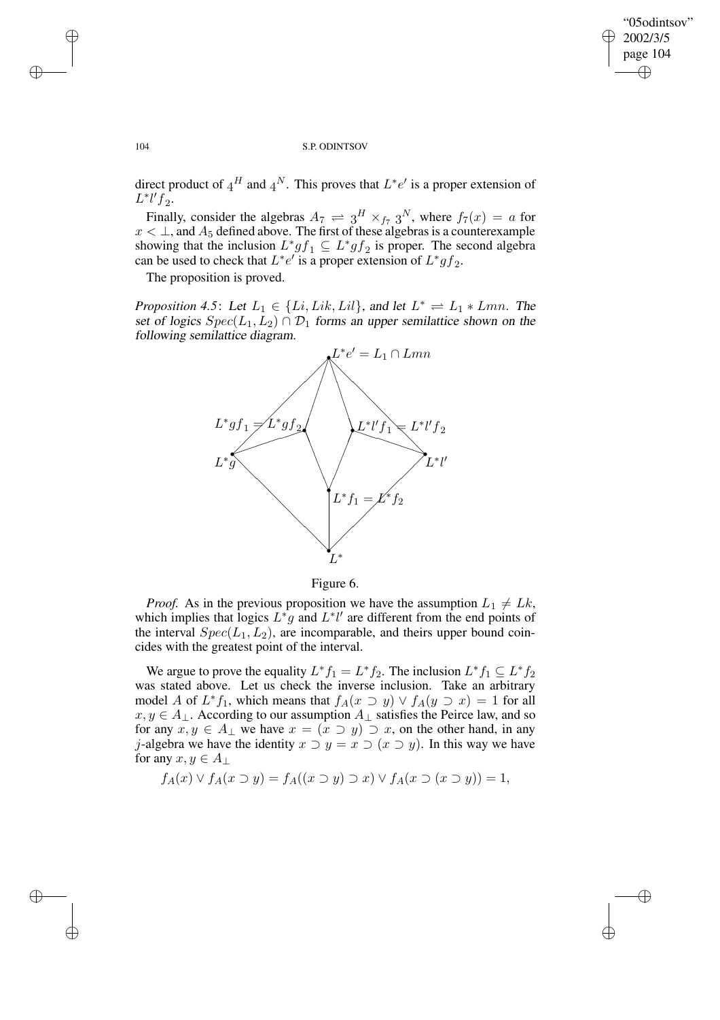$\bigoplus$ 

✐

#### 104 S.P. ODINTSOV

direct product of  $4^H$  and  $4^N$ . This proves that  $L^*e'$  is a proper extension of  $L^* l' f_2$ .

Finally, consider the algebras  $A_7 \rightleftharpoons 3^H \times_{f_7} 3^N$ , where  $f_7(x) = a$  for  $x < \perp$ , and  $A_5$  defined above. The first of these algebras is a counterexample showing that the inclusion  $L^*gf_1 \subseteq L^*gf_2$  is proper. The second algebra can be used to check that  $L^*e^{t}$  is a proper extension of  $L^*gf_2$ .

The proposition is proved.

*Proposition* 4.5: Let  $L_1 \in \{Li, Lik, Lil\}$ , and let  $L^* \rightleftharpoons L_1 * Lmn$ . The set of logics  $Spec(L_1, L_2) \cap D_1$  forms an upper semilattice shown on the following semilattice diagram.



Figure 6.

*Proof.* As in the previous proposition we have the assumption  $L_1 \neq Lk$ , which implies that logics  $L^*g$  and  $L^*l'$  are different from the end points of the interval  $Spec(L_1, L_2)$ , are incomparable, and theirs upper bound coincides with the greatest point of the interval.

We argue to prove the equality  $L^* f_1 = L^* f_2$ . The inclusion  $L^* f_1 \subseteq L^* f_2$ was stated above. Let us check the inverse inclusion. Take an arbitrary model A of  $L^*f_1$ , which means that  $f_A(x \supset y) \vee f_A(y \supset x) = 1$  for all  $x, y \in A_{\perp}$ . According to our assumption  $A_{\perp}$  satisfies the Peirce law, and so for any  $x, y \in A_{\perp}$  we have  $x = (x \supset y) \supset x$ , on the other hand, in any j-algebra we have the identity  $x \supset y = x \supset (x \supset y)$ . In this way we have for any  $x, y \in A_{\perp}$ 

$$
f_A(x) \lor f_A(x \supset y) = f_A((x \supset y) \supset x) \lor f_A(x \supset (x \supset y)) = 1,
$$

 $\rightarrow$ 

 $\rightarrow$ 

✐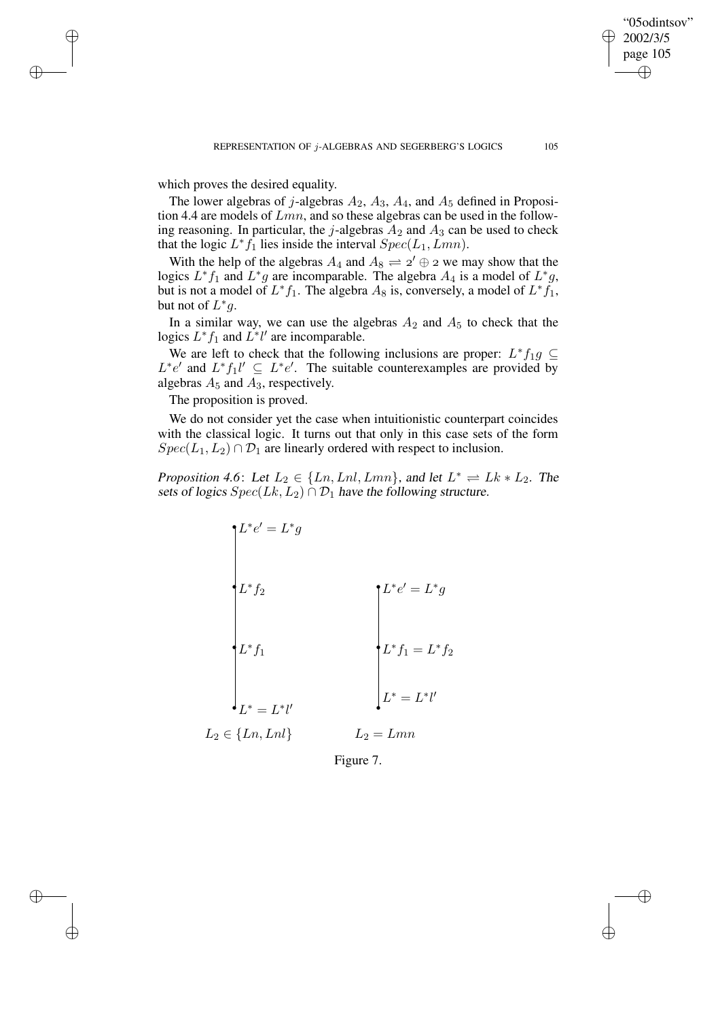"05odintsov" 2002/3/5 page 105

✐

✐

✐

✐

which proves the desired equality.

 $\rightarrow$ 

 $\rightarrow$ 

✐

✐

The lower algebras of j-algebras  $A_2$ ,  $A_3$ ,  $A_4$ , and  $A_5$  defined in Proposition 4.4 are models of  $Lmn$ , and so these algebras can be used in the following reasoning. In particular, the j-algebras  $A_2$  and  $A_3$  can be used to check that the logic  $L^* f_1$  lies inside the interval  $Spec(L_1, Lmn)$ .

With the help of the algebras  $A_4$  and  $A_8 \rightleftharpoons 2' \oplus 2$  we may show that the logics  $L^* f_1$  and  $L^* g$  are incomparable. The algebra  $A_4$  is a model of  $L^* g$ , but is not a model of  $L^* f_1$ . The algebra  $A_8$  is, conversely, a model of  $L^* f_1$ , but not of  $L^*g$ .

In a similar way, we can use the algebras  $A_2$  and  $A_5$  to check that the logics  $L^*f_1$  and  $L^*l'$  are incomparable.

We are left to check that the following inclusions are proper:  $L^* f_1 g \subseteq$  $L^*e'$  and  $L^*f_1l' \subseteq L^*e'$ . The suitable counterexamples are provided by algebras  $A_5$  and  $A_3$ , respectively.

The proposition is proved.

We do not consider yet the case when intuitionistic counterpart coincides with the classical logic. It turns out that only in this case sets of the form  $Spec(L_1,L_2) \cap \mathcal{D}_1$  are linearly ordered with respect to inclusion.

*Proposition* 4.6: Let  $L_2 \in \{Ln, Lnl, Lmn\}$ , and let  $L^* \rightleftharpoons Lk * L_2$ . The sets of logics  $Spec(Lk, L_2) \cap \mathcal{D}_1$  have the following structure.

$$
L^*e' = L^*g
$$
\n
$$
L^*f_2
$$
\n
$$
L^*f_1
$$
\n
$$
L^*f_1
$$
\n
$$
L^* = L^*l'
$$
\n
$$
L_2 \in \{Ln, Lnl\}
$$
\n
$$
L_2 = Lmn
$$

Figure 7.